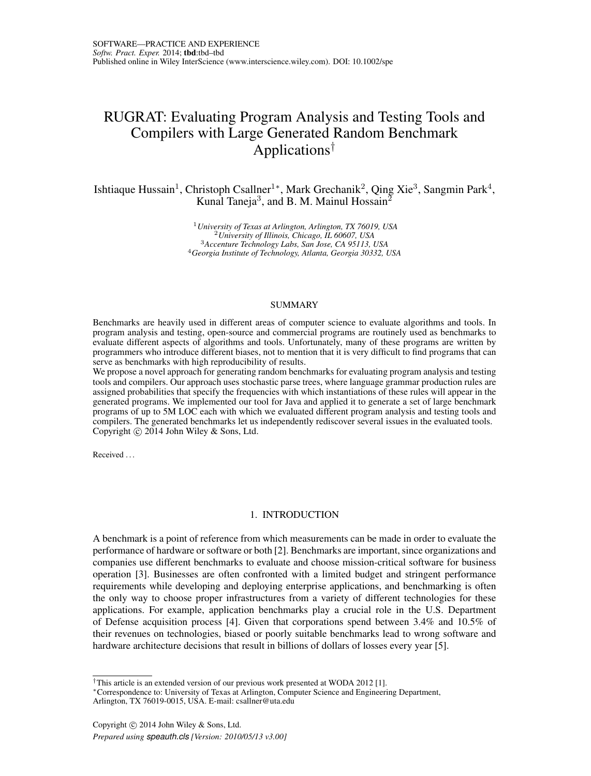# RUGRAT: Evaluating Program Analysis and Testing Tools and Compilers with Large Generated Random Benchmark Applications†

Ishtiaque Hussain<sup>1</sup>, Christoph Csallner<sup>1</sup>\*, Mark Grechanik<sup>2</sup>, Qing Xie<sup>3</sup>, Sangmin Park<sup>4</sup>, Kunal Taneja<sup>3</sup>, and B. M. Mainul Hossain<sup>2</sup>

> *University of Texas at Arlington, Arlington, TX 76019, USA University of Illinois, Chicago, IL 60607, USA Accenture Technology Labs, San Jose, CA 95113, USA Georgia Institute of Technology, Atlanta, Georgia 30332, USA*

### SUMMARY

Benchmarks are heavily used in different areas of computer science to evaluate algorithms and tools. In program analysis and testing, open-source and commercial programs are routinely used as benchmarks to evaluate different aspects of algorithms and tools. Unfortunately, many of these programs are written by programmers who introduce different biases, not to mention that it is very difficult to find programs that can serve as benchmarks with high reproducibility of results.

We propose a novel approach for generating random benchmarks for evaluating program analysis and testing tools and compilers. Our approach uses stochastic parse trees, where language grammar production rules are assigned probabilities that specify the frequencies with which instantiations of these rules will appear in the generated programs. We implemented our tool for Java and applied it to generate a set of large benchmark programs of up to 5M LOC each with which we evaluated different program analysis and testing tools and compilers. The generated benchmarks let us independently rediscover several issues in the evaluated tools. Copyright  $\circ$  2014 John Wiley & Sons, Ltd.

Received . . .

### 1. INTRODUCTION

A benchmark is a point of reference from which measurements can be made in order to evaluate the performance of hardware or software or both [\[2\]](#page-25-0). Benchmarks are important, since organizations and companies use different benchmarks to evaluate and choose mission-critical software for business operation [\[3\]](#page-25-1). Businesses are often confronted with a limited budget and stringent performance requirements while developing and deploying enterprise applications, and benchmarking is often the only way to choose proper infrastructures from a variety of different technologies for these applications. For example, application benchmarks play a crucial role in the U.S. Department of Defense acquisition process [\[4\]](#page-25-2). Given that corporations spend between 3.4% and 10.5% of their revenues on technologies, biased or poorly suitable benchmarks lead to wrong software and hardware architecture decisions that result in billions of dollars of losses every year [\[5\]](#page-25-3).

<sup>†</sup>This article is an extended version of our previous work presented at WODA 2012 [\[1\]](#page-25-4).

<sup>∗</sup>Correspondence to: University of Texas at Arlington, Computer Science and Engineering Department, Arlington, TX 76019-0015, USA. E-mail: csallner@uta.edu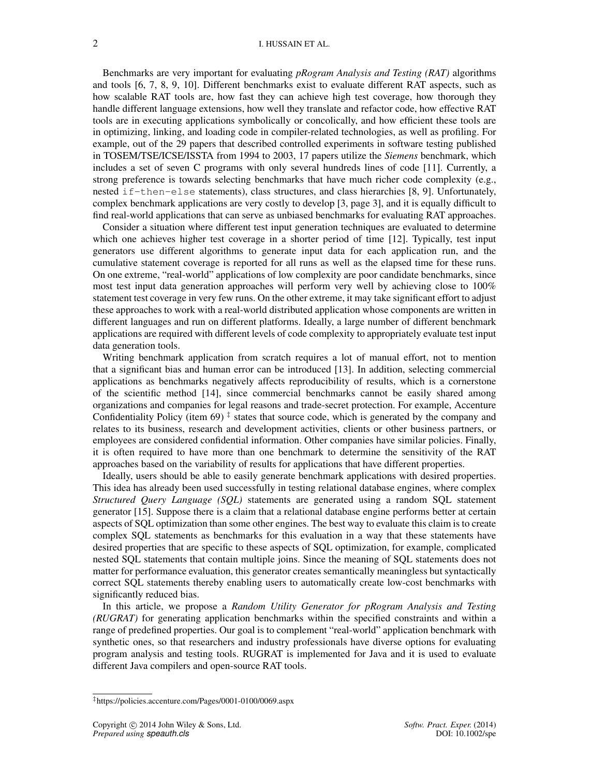Benchmarks are very important for evaluating *pRogram Analysis and Testing (RAT)* algorithms and tools [\[6,](#page-25-5) [7,](#page-25-6) [8,](#page-25-7) [9,](#page-25-8) [10\]](#page-25-9). Different benchmarks exist to evaluate different RAT aspects, such as how scalable RAT tools are, how fast they can achieve high test coverage, how thorough they handle different language extensions, how well they translate and refactor code, how effective RAT tools are in executing applications symbolically or concolically, and how efficient these tools are in optimizing, linking, and loading code in compiler-related technologies, as well as profiling. For example, out of the 29 papers that described controlled experiments in software testing published in TOSEM/TSE/ICSE/ISSTA from 1994 to 2003, 17 papers utilize the *Siemens* benchmark, which includes a set of seven C programs with only several hundreds lines of code [\[11\]](#page-25-10). Currently, a strong preference is towards selecting benchmarks that have much richer code complexity (e.g., nested if-then-else statements), class structures, and class hierarchies [\[8,](#page-25-7) [9\]](#page-25-8). Unfortunately, complex benchmark applications are very costly to develop [\[3,](#page-25-1) page 3], and it is equally difficult to find real-world applications that can serve as unbiased benchmarks for evaluating RAT approaches.

Consider a situation where different test input generation techniques are evaluated to determine which one achieves higher test coverage in a shorter period of time [\[12\]](#page-25-11). Typically, test input generators use different algorithms to generate input data for each application run, and the cumulative statement coverage is reported for all runs as well as the elapsed time for these runs. On one extreme, "real-world" applications of low complexity are poor candidate benchmarks, since most test input data generation approaches will perform very well by achieving close to 100% statement test coverage in very few runs. On the other extreme, it may take significant effort to adjust these approaches to work with a real-world distributed application whose components are written in different languages and run on different platforms. Ideally, a large number of different benchmark applications are required with different levels of code complexity to appropriately evaluate test input data generation tools.

Writing benchmark application from scratch requires a lot of manual effort, not to mention that a significant bias and human error can be introduced [\[13\]](#page-25-12). In addition, selecting commercial applications as benchmarks negatively affects reproducibility of results, which is a cornerstone of the scientific method [\[14\]](#page-25-13), since commercial benchmarks cannot be easily shared among organizations and companies for legal reasons and trade-secret protection. For example, Accenture Confidentiality Policy (item 69)<sup> $\ddagger$ </sup> states that source code, which is generated by the company and relates to its business, research and development activities, clients or other business partners, or employees are considered confidential information. Other companies have similar policies. Finally, it is often required to have more than one benchmark to determine the sensitivity of the RAT approaches based on the variability of results for applications that have different properties.

Ideally, users should be able to easily generate benchmark applications with desired properties. This idea has already been used successfully in testing relational database engines, where complex *Structured Query Language (SQL)* statements are generated using a random SQL statement generator [\[15\]](#page-25-14). Suppose there is a claim that a relational database engine performs better at certain aspects of SQL optimization than some other engines. The best way to evaluate this claim is to create complex SQL statements as benchmarks for this evaluation in a way that these statements have desired properties that are specific to these aspects of SQL optimization, for example, complicated nested SQL statements that contain multiple joins. Since the meaning of SQL statements does not matter for performance evaluation, this generator creates semantically meaningless but syntactically correct SQL statements thereby enabling users to automatically create low-cost benchmarks with significantly reduced bias.

In this article, we propose a *Random Utility Generator for pRogram Analysis and Testing (RUGRAT)* for generating application benchmarks within the specified constraints and within a range of predefined properties. Our goal is to complement "real-world" application benchmark with synthetic ones, so that researchers and industry professionals have diverse options for evaluating program analysis and testing tools. RUGRAT is implemented for Java and it is used to evaluate different Java compilers and open-source RAT tools.

<span id="page-1-0"></span><sup>‡</sup>https://policies.accenture.com/Pages/0001-0100/0069.aspx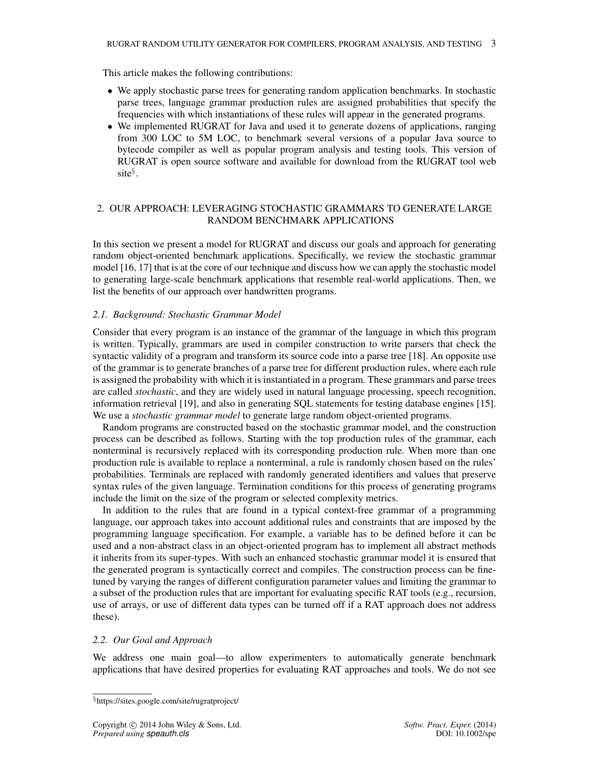This article makes the following contributions:

- We apply stochastic parse trees for generating random application benchmarks. In stochastic parse trees, language grammar production rules are assigned probabilities that specify the frequencies with which instantiations of these rules will appear in the generated programs.
- We implemented RUGRAT for Java and used it to generate dozens of applications, ranging from 300 LOC to 5M LOC, to benchmark several versions of a popular Java source to bytecode compiler as well as popular program analysis and testing tools. This version of RUGRAT is open source software and available for download from the RUGRAT tool web site[§](#page-2-0) .

# 2. OUR APPROACH: LEVERAGING STOCHASTIC GRAMMARS TO GENERATE LARGE RANDOM BENCHMARK APPLICATIONS

In this section we present a model for RUGRAT and discuss our goals and approach for generating random object-oriented benchmark applications. Specifically, we review the stochastic grammar model [\[16,](#page-25-15) [17\]](#page-25-16) that is at the core of our technique and discuss how we can apply the stochastic model to generating large-scale benchmark applications that resemble real-world applications. Then, we list the benefits of our approach over handwritten programs.

# *2.1. Background: Stochastic Grammar Model*

Consider that every program is an instance of the grammar of the language in which this program is written. Typically, grammars are used in compiler construction to write parsers that check the syntactic validity of a program and transform its source code into a parse tree [\[18\]](#page-25-17). An opposite use of the grammar is to generate branches of a parse tree for different production rules, where each rule is assigned the probability with which it is instantiated in a program. These grammars and parse trees are called *stochastic*, and they are widely used in natural language processing, speech recognition, information retrieval [\[19\]](#page-25-18), and also in generating SQL statements for testing database engines [\[15\]](#page-25-14). We use a *stochastic grammar model* to generate large random object-oriented programs.

Random programs are constructed based on the stochastic grammar model, and the construction process can be described as follows. Starting with the top production rules of the grammar, each nonterminal is recursively replaced with its corresponding production rule. When more than one production rule is available to replace a nonterminal, a rule is randomly chosen based on the rules' probabilities. Terminals are replaced with randomly generated identifiers and values that preserve syntax rules of the given language. Termination conditions for this process of generating programs include the limit on the size of the program or selected complexity metrics.

In addition to the rules that are found in a typical context-free grammar of a programming language, our approach takes into account additional rules and constraints that are imposed by the programming language specification. For example, a variable has to be defined before it can be used and a non-abstract class in an object-oriented program has to implement all abstract methods it inherits from its super-types. With such an enhanced stochastic grammar model it is ensured that the generated program is syntactically correct and compiles. The construction process can be finetuned by varying the ranges of different configuration parameter values and limiting the grammar to a subset of the production rules that are important for evaluating specific RAT tools (e.g., recursion, use of arrays, or use of different data types can be turned off if a RAT approach does not address these).

### <span id="page-2-1"></span>*2.2. Our Goal and Approach*

We address one main goal—to allow experimenters to automatically generate benchmark applications that have desired properties for evaluating RAT approaches and tools. We do not see

<span id="page-2-0"></span><sup>§</sup>https://sites.google.com/site/rugratproject/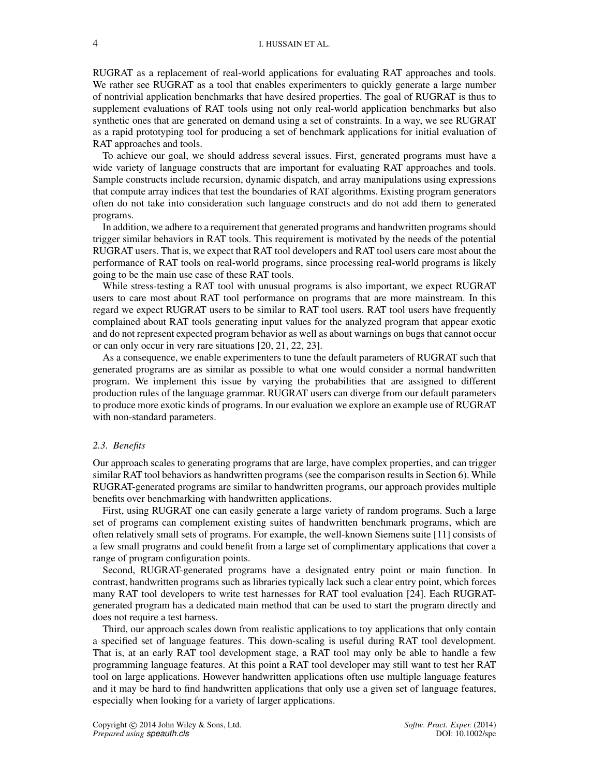RUGRAT as a replacement of real-world applications for evaluating RAT approaches and tools. We rather see RUGRAT as a tool that enables experimenters to quickly generate a large number of nontrivial application benchmarks that have desired properties. The goal of RUGRAT is thus to supplement evaluations of RAT tools using not only real-world application benchmarks but also synthetic ones that are generated on demand using a set of constraints. In a way, we see RUGRAT as a rapid prototyping tool for producing a set of benchmark applications for initial evaluation of RAT approaches and tools.

To achieve our goal, we should address several issues. First, generated programs must have a wide variety of language constructs that are important for evaluating RAT approaches and tools. Sample constructs include recursion, dynamic dispatch, and array manipulations using expressions that compute array indices that test the boundaries of RAT algorithms. Existing program generators often do not take into consideration such language constructs and do not add them to generated programs.

In addition, we adhere to a requirement that generated programs and handwritten programs should trigger similar behaviors in RAT tools. This requirement is motivated by the needs of the potential RUGRAT users. That is, we expect that RAT tool developers and RAT tool users care most about the performance of RAT tools on real-world programs, since processing real-world programs is likely going to be the main use case of these RAT tools.

While stress-testing a RAT tool with unusual programs is also important, we expect RUGRAT users to care most about RAT tool performance on programs that are more mainstream. In this regard we expect RUGRAT users to be similar to RAT tool users. RAT tool users have frequently complained about RAT tools generating input values for the analyzed program that appear exotic and do not represent expected program behavior as well as about warnings on bugs that cannot occur or can only occur in very rare situations [\[20,](#page-25-19) [21,](#page-25-20) [22,](#page-25-21) [23\]](#page-25-22).

As a consequence, we enable experimenters to tune the default parameters of RUGRAT such that generated programs are as similar as possible to what one would consider a normal handwritten program. We implement this issue by varying the probabilities that are assigned to different production rules of the language grammar. RUGRAT users can diverge from our default parameters to produce more exotic kinds of programs. In our evaluation we explore an example use of RUGRAT with non-standard parameters.

### <span id="page-3-0"></span>*2.3. Benefits*

Our approach scales to generating programs that are large, have complex properties, and can trigger similar RAT tool behaviors as handwritten programs (see the comparison results in Section [6\)](#page-13-0). While RUGRAT-generated programs are similar to handwritten programs, our approach provides multiple benefits over benchmarking with handwritten applications.

First, using RUGRAT one can easily generate a large variety of random programs. Such a large set of programs can complement existing suites of handwritten benchmark programs, which are often relatively small sets of programs. For example, the well-known Siemens suite [\[11\]](#page-25-10) consists of a few small programs and could benefit from a large set of complimentary applications that cover a range of program configuration points.

Second, RUGRAT-generated programs have a designated entry point or main function. In contrast, handwritten programs such as libraries typically lack such a clear entry point, which forces many RAT tool developers to write test harnesses for RAT tool evaluation [\[24\]](#page-25-23). Each RUGRATgenerated program has a dedicated main method that can be used to start the program directly and does not require a test harness.

Third, our approach scales down from realistic applications to toy applications that only contain a specified set of language features. This down-scaling is useful during RAT tool development. That is, at an early RAT tool development stage, a RAT tool may only be able to handle a few programming language features. At this point a RAT tool developer may still want to test her RAT tool on large applications. However handwritten applications often use multiple language features and it may be hard to find handwritten applications that only use a given set of language features, especially when looking for a variety of larger applications.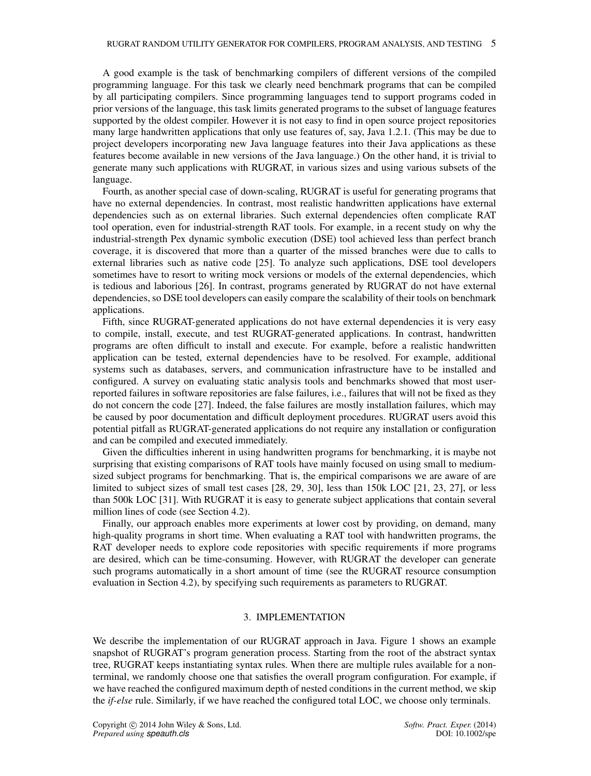A good example is the task of benchmarking compilers of different versions of the compiled programming language. For this task we clearly need benchmark programs that can be compiled by all participating compilers. Since programming languages tend to support programs coded in prior versions of the language, this task limits generated programs to the subset of language features supported by the oldest compiler. However it is not easy to find in open source project repositories many large handwritten applications that only use features of, say, Java 1.2.1. (This may be due to project developers incorporating new Java language features into their Java applications as these features become available in new versions of the Java language.) On the other hand, it is trivial to generate many such applications with RUGRAT, in various sizes and using various subsets of the language.

Fourth, as another special case of down-scaling, RUGRAT is useful for generating programs that have no external dependencies. In contrast, most realistic handwritten applications have external dependencies such as on external libraries. Such external dependencies often complicate RAT tool operation, even for industrial-strength RAT tools. For example, in a recent study on why the industrial-strength Pex dynamic symbolic execution (DSE) tool achieved less than perfect branch coverage, it is discovered that more than a quarter of the missed branches were due to calls to external libraries such as native code [\[25\]](#page-25-24). To analyze such applications, DSE tool developers sometimes have to resort to writing mock versions or models of the external dependencies, which is tedious and laborious [\[26\]](#page-25-25). In contrast, programs generated by RUGRAT do not have external dependencies, so DSE tool developers can easily compare the scalability of their tools on benchmark applications.

Fifth, since RUGRAT-generated applications do not have external dependencies it is very easy to compile, install, execute, and test RUGRAT-generated applications. In contrast, handwritten programs are often difficult to install and execute. For example, before a realistic handwritten application can be tested, external dependencies have to be resolved. For example, additional systems such as databases, servers, and communication infrastructure have to be installed and configured. A survey on evaluating static analysis tools and benchmarks showed that most userreported failures in software repositories are false failures, i.e., failures that will not be fixed as they do not concern the code [\[27\]](#page-25-26). Indeed, the false failures are mostly installation failures, which may be caused by poor documentation and difficult deployment procedures. RUGRAT users avoid this potential pitfall as RUGRAT-generated applications do not require any installation or configuration and can be compiled and executed immediately.

Given the difficulties inherent in using handwritten programs for benchmarking, it is maybe not surprising that existing comparisons of RAT tools have mainly focused on using small to mediumsized subject programs for benchmarking. That is, the empirical comparisons we are aware of are limited to subject sizes of small test cases [\[28,](#page-25-27) [29,](#page-25-28) [30\]](#page-25-29), less than 150k LOC [\[21,](#page-25-20) [23,](#page-25-22) [27\]](#page-25-26), or less than 500k LOC [\[31\]](#page-26-0). With RUGRAT it is easy to generate subject applications that contain several million lines of code (see Section [4.2\)](#page-8-0).

Finally, our approach enables more experiments at lower cost by providing, on demand, many high-quality programs in short time. When evaluating a RAT tool with handwritten programs, the RAT developer needs to explore code repositories with specific requirements if more programs are desired, which can be time-consuming. However, with RUGRAT the developer can generate such programs automatically in a short amount of time (see the RUGRAT resource consumption evaluation in Section [4.2\)](#page-8-0), by specifying such requirements as parameters to RUGRAT.

#### 3. IMPLEMENTATION

We describe the implementation of our RUGRAT approach in Java. Figure [1](#page-5-0) shows an example snapshot of RUGRAT's program generation process. Starting from the root of the abstract syntax tree, RUGRAT keeps instantiating syntax rules. When there are multiple rules available for a nonterminal, we randomly choose one that satisfies the overall program configuration. For example, if we have reached the configured maximum depth of nested conditions in the current method, we skip the *if-else* rule. Similarly, if we have reached the configured total LOC, we choose only terminals.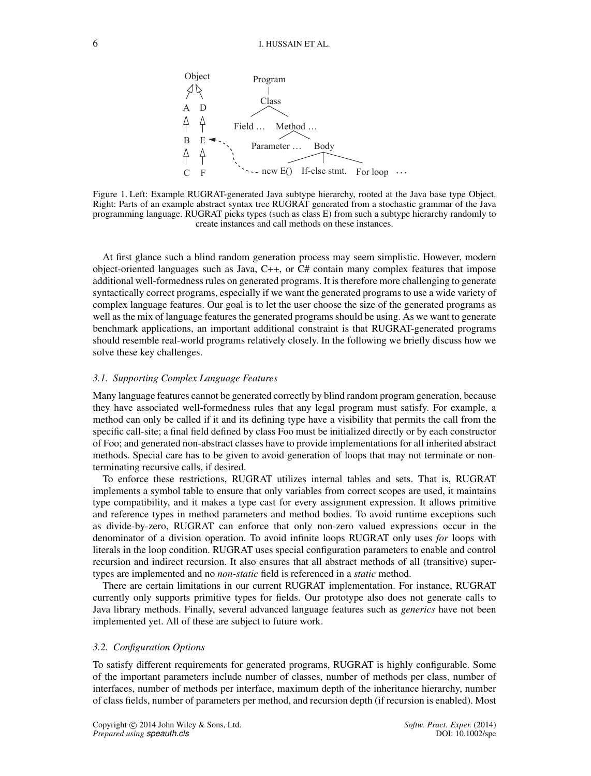<span id="page-5-0"></span>

Figure 1. Left: Example RUGRAT-generated Java subtype hierarchy, rooted at the Java base type Object. Right: Parts of an example abstract syntax tree RUGRAT generated from a stochastic grammar of the Java programming language. RUGRAT picks types (such as class E) from such a subtype hierarchy randomly to create instances and call methods on these instances.

At first glance such a blind random generation process may seem simplistic. However, modern object-oriented languages such as Java, C++, or C# contain many complex features that impose additional well-formedness rules on generated programs. It is therefore more challenging to generate syntactically correct programs, especially if we want the generated programs to use a wide variety of complex language features. Our goal is to let the user choose the size of the generated programs as well as the mix of language features the generated programs should be using. As we want to generate benchmark applications, an important additional constraint is that RUGRAT-generated programs should resemble real-world programs relatively closely. In the following we briefly discuss how we solve these key challenges.

### *3.1. Supporting Complex Language Features*

Many language features cannot be generated correctly by blind random program generation, because they have associated well-formedness rules that any legal program must satisfy. For example, a method can only be called if it and its defining type have a visibility that permits the call from the specific call-site; a final field defined by class Foo must be initialized directly or by each constructor of Foo; and generated non-abstract classes have to provide implementations for all inherited abstract methods. Special care has to be given to avoid generation of loops that may not terminate or nonterminating recursive calls, if desired.

To enforce these restrictions, RUGRAT utilizes internal tables and sets. That is, RUGRAT implements a symbol table to ensure that only variables from correct scopes are used, it maintains type compatibility, and it makes a type cast for every assignment expression. It allows primitive and reference types in method parameters and method bodies. To avoid runtime exceptions such as divide-by-zero, RUGRAT can enforce that only non-zero valued expressions occur in the denominator of a division operation. To avoid infinite loops RUGRAT only uses *for* loops with literals in the loop condition. RUGRAT uses special configuration parameters to enable and control recursion and indirect recursion. It also ensures that all abstract methods of all (transitive) supertypes are implemented and no *non-static* field is referenced in a *static* method.

There are certain limitations in our current RUGRAT implementation. For instance, RUGRAT currently only supports primitive types for fields. Our prototype also does not generate calls to Java library methods. Finally, several advanced language features such as *generics* have not been implemented yet. All of these are subject to future work.

### <span id="page-5-1"></span>*3.2. Configuration Options*

To satisfy different requirements for generated programs, RUGRAT is highly configurable. Some of the important parameters include number of classes, number of methods per class, number of interfaces, number of methods per interface, maximum depth of the inheritance hierarchy, number of class fields, number of parameters per method, and recursion depth (if recursion is enabled). Most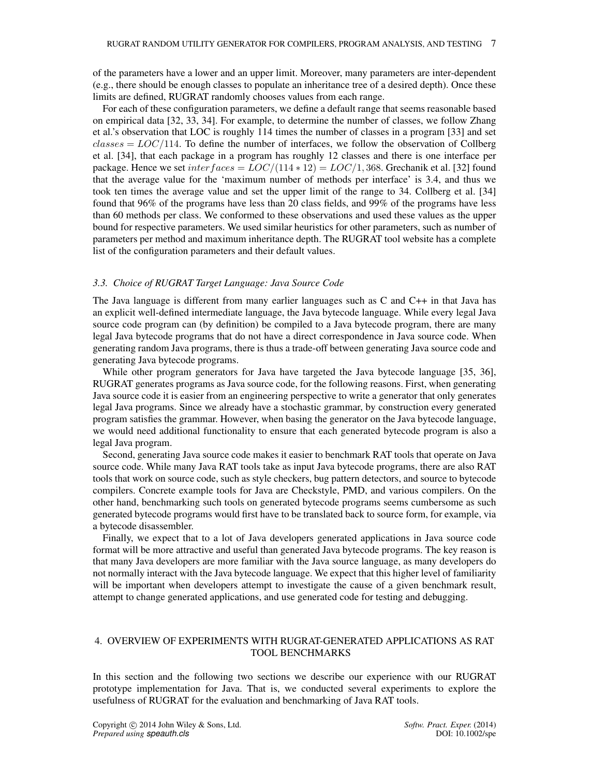of the parameters have a lower and an upper limit. Moreover, many parameters are inter-dependent (e.g., there should be enough classes to populate an inheritance tree of a desired depth). Once these limits are defined, RUGRAT randomly chooses values from each range.

For each of these configuration parameters, we define a default range that seems reasonable based on empirical data [\[32,](#page-26-1) [33,](#page-26-2) [34\]](#page-26-3). For example, to determine the number of classes, we follow Zhang et al.'s observation that LOC is roughly 114 times the number of classes in a program [\[33\]](#page-26-2) and set  $classes = LOC/114$ . To define the number of interfaces, we follow the observation of Collberg et al. [\[34\]](#page-26-3), that each package in a program has roughly 12 classes and there is one interface per package. Hence we set  $interfaces = LOC/(114 * 12) = LOC/1,368$ . Grechanik et al. [\[32\]](#page-26-1) found that the average value for the 'maximum number of methods per interface' is 3.4, and thus we took ten times the average value and set the upper limit of the range to 34. Collberg et al. [\[34\]](#page-26-3) found that 96% of the programs have less than 20 class fields, and 99% of the programs have less than 60 methods per class. We conformed to these observations and used these values as the upper bound for respective parameters. We used similar heuristics for other parameters, such as number of parameters per method and maximum inheritance depth. The RUGRAT tool website has a complete list of the configuration parameters and their default values.

#### *3.3. Choice of RUGRAT Target Language: Java Source Code*

The Java language is different from many earlier languages such as C and C++ in that Java has an explicit well-defined intermediate language, the Java bytecode language. While every legal Java source code program can (by definition) be compiled to a Java bytecode program, there are many legal Java bytecode programs that do not have a direct correspondence in Java source code. When generating random Java programs, there is thus a trade-off between generating Java source code and generating Java bytecode programs.

While other program generators for Java have targeted the Java bytecode language [\[35,](#page-26-4) [36\]](#page-26-5), RUGRAT generates programs as Java source code, for the following reasons. First, when generating Java source code it is easier from an engineering perspective to write a generator that only generates legal Java programs. Since we already have a stochastic grammar, by construction every generated program satisfies the grammar. However, when basing the generator on the Java bytecode language, we would need additional functionality to ensure that each generated bytecode program is also a legal Java program.

Second, generating Java source code makes it easier to benchmark RAT tools that operate on Java source code. While many Java RAT tools take as input Java bytecode programs, there are also RAT tools that work on source code, such as style checkers, bug pattern detectors, and source to bytecode compilers. Concrete example tools for Java are Checkstyle, PMD, and various compilers. On the other hand, benchmarking such tools on generated bytecode programs seems cumbersome as such generated bytecode programs would first have to be translated back to source form, for example, via a bytecode disassembler.

Finally, we expect that to a lot of Java developers generated applications in Java source code format will be more attractive and useful than generated Java bytecode programs. The key reason is that many Java developers are more familiar with the Java source language, as many developers do not normally interact with the Java bytecode language. We expect that this higher level of familiarity will be important when developers attempt to investigate the cause of a given benchmark result, attempt to change generated applications, and use generated code for testing and debugging.

# 4. OVERVIEW OF EXPERIMENTS WITH RUGRAT-GENERATED APPLICATIONS AS RAT TOOL BENCHMARKS

In this section and the following two sections we describe our experience with our RUGRAT prototype implementation for Java. That is, we conducted several experiments to explore the usefulness of RUGRAT for the evaluation and benchmarking of Java RAT tools.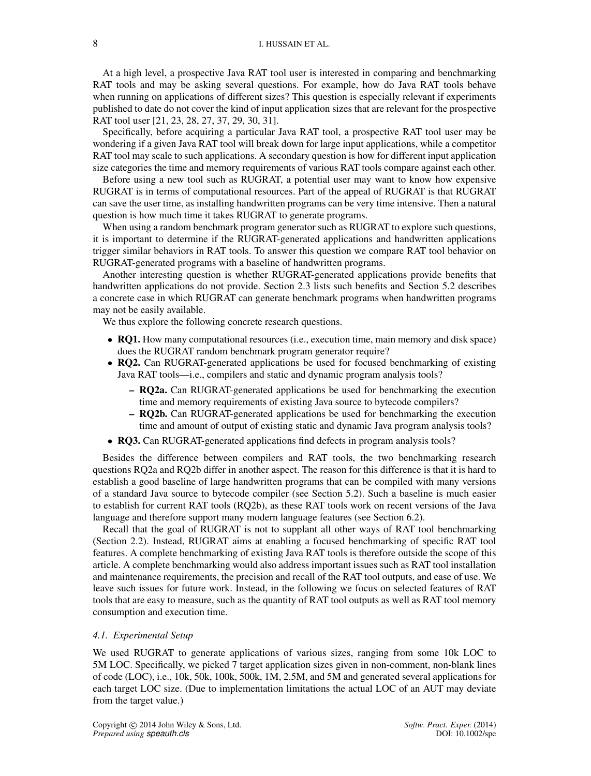At a high level, a prospective Java RAT tool user is interested in comparing and benchmarking RAT tools and may be asking several questions. For example, how do Java RAT tools behave when running on applications of different sizes? This question is especially relevant if experiments published to date do not cover the kind of input application sizes that are relevant for the prospective RAT tool user [\[21,](#page-25-20) [23,](#page-25-22) [28,](#page-25-27) [27,](#page-25-26) [37,](#page-26-6) [29,](#page-25-28) [30,](#page-25-29) [31\]](#page-26-0).

Specifically, before acquiring a particular Java RAT tool, a prospective RAT tool user may be wondering if a given Java RAT tool will break down for large input applications, while a competitor RAT tool may scale to such applications. A secondary question is how for different input application size categories the time and memory requirements of various RAT tools compare against each other.

Before using a new tool such as RUGRAT, a potential user may want to know how expensive RUGRAT is in terms of computational resources. Part of the appeal of RUGRAT is that RUGRAT can save the user time, as installing handwritten programs can be very time intensive. Then a natural question is how much time it takes RUGRAT to generate programs.

When using a random benchmark program generator such as RUGRAT to explore such questions, it is important to determine if the RUGRAT-generated applications and handwritten applications trigger similar behaviors in RAT tools. To answer this question we compare RAT tool behavior on RUGRAT-generated programs with a baseline of handwritten programs.

Another interesting question is whether RUGRAT-generated applications provide benefits that handwritten applications do not provide. Section [2.3](#page-3-0) lists such benefits and Section [5.2](#page-9-0) describes a concrete case in which RUGRAT can generate benchmark programs when handwritten programs may not be easily available.

We thus explore the following concrete research questions.

- RQ1. How many computational resources (i.e., execution time, main memory and disk space) does the RUGRAT random benchmark program generator require?
- RQ2. Can RUGRAT-generated applications be used for focused benchmarking of existing Java RAT tools—i.e., compilers and static and dynamic program analysis tools?
	- RQ2a. Can RUGRAT-generated applications be used for benchmarking the execution time and memory requirements of existing Java source to bytecode compilers?
	- RQ2b. Can RUGRAT-generated applications be used for benchmarking the execution time and amount of output of existing static and dynamic Java program analysis tools?
- RQ3. Can RUGRAT-generated applications find defects in program analysis tools?

Besides the difference between compilers and RAT tools, the two benchmarking research questions RQ2a and RQ2b differ in another aspect. The reason for this difference is that it is hard to establish a good baseline of large handwritten programs that can be compiled with many versions of a standard Java source to bytecode compiler (see Section [5.2\)](#page-9-0). Such a baseline is much easier to establish for current RAT tools (RQ2b), as these RAT tools work on recent versions of the Java language and therefore support many modern language features (see Section [6.2\)](#page-15-0).

Recall that the goal of RUGRAT is not to supplant all other ways of RAT tool benchmarking (Section [2.2\)](#page-2-1). Instead, RUGRAT aims at enabling a focused benchmarking of specific RAT tool features. A complete benchmarking of existing Java RAT tools is therefore outside the scope of this article. A complete benchmarking would also address important issues such as RAT tool installation and maintenance requirements, the precision and recall of the RAT tool outputs, and ease of use. We leave such issues for future work. Instead, in the following we focus on selected features of RAT tools that are easy to measure, such as the quantity of RAT tool outputs as well as RAT tool memory consumption and execution time.

### *4.1. Experimental Setup*

We used RUGRAT to generate applications of various sizes, ranging from some 10k LOC to 5M LOC. Specifically, we picked 7 target application sizes given in non-comment, non-blank lines of code (LOC), i.e., 10k, 50k, 100k, 500k, 1M, 2.5M, and 5M and generated several applications for each target LOC size. (Due to implementation limitations the actual LOC of an AUT may deviate from the target value.)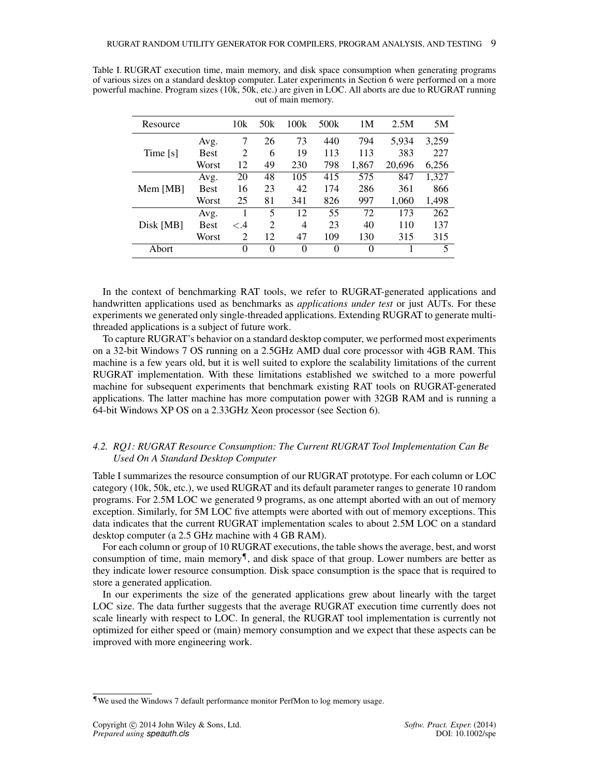| Resource   |             | 10k            | 50 <sub>k</sub>             | 100k           | 500k     | 1 <sub>M</sub> | 2.5M   | 5M    |
|------------|-------------|----------------|-----------------------------|----------------|----------|----------------|--------|-------|
|            | Avg.        | 7              | 26                          | 73             | 440      | 794            | 5.934  | 3,259 |
| Time $[s]$ | <b>Best</b> | $\overline{c}$ | 6                           | 19             | 113      | 113            | 383    | 227   |
|            | Worst       | 12             | 49                          | 230            | 798      | 1.867          | 20,696 | 6,256 |
|            | Avg.        | 20             | 48                          | 105            | 415      | 575            | 847    | 1,327 |
| Mem [MB]   | <b>Best</b> | 16             | 23                          | 42             | 174      | 286            | 361    | 866   |
|            | Worst       | 25             | 81                          | 341            | 826      | 997            | 1,060  | 1,498 |
|            | Avg.        |                | 5                           | 12             | 55       | 72             | 173    | 262   |
| Disk [MB]  | <b>Best</b> | $\lt.4$        | $\mathcal{D}_{\mathcal{L}}$ | $\overline{4}$ | 23       | 40             | 110    | 137   |
|            | Worst       | $\overline{c}$ | 12                          | 47             | 109      | 130            | 315    | 315   |
| Abort      |             | 0              | 0                           | $\theta$       | $\theta$ | $\theta$       |        | 5     |

<span id="page-8-1"></span>Table I. RUGRAT execution time, main memory, and disk space consumption when generating programs of various sizes on a standard desktop computer. Later experiments in Section [6](#page-13-0) were performed on a more powerful machine. Program sizes (10k, 50k, etc.) are given in LOC. All aborts are due to RUGRAT running out of main memory.

In the context of benchmarking RAT tools, we refer to RUGRAT-generated applications and handwritten applications used as benchmarks as *applications under test* or just AUTs. For these experiments we generated only single-threaded applications. Extending RUGRAT to generate multithreaded applications is a subject of future work.

To capture RUGRAT's behavior on a standard desktop computer, we performed most experiments on a 32-bit Windows 7 OS running on a 2.5GHz AMD dual core processor with 4GB RAM. This machine is a few years old, but it is well suited to explore the scalability limitations of the current RUGRAT implementation. With these limitations established we switched to a more powerful machine for subsequent experiments that benchmark existing RAT tools on RUGRAT-generated applications. The latter machine has more computation power with 32GB RAM and is running a 64-bit Windows XP OS on a 2.33GHz Xeon processor (see Section [6\)](#page-13-0).

# <span id="page-8-0"></span>*4.2. RQ1: RUGRAT Resource Consumption: The Current RUGRAT Tool Implementation Can Be Used On A Standard Desktop Computer*

Table [I](#page-8-1) summarizes the resource consumption of our RUGRAT prototype. For each column or LOC category (10k, 50k, etc.), we used RUGRAT and its default parameter ranges to generate 10 random programs. For 2.5M LOC we generated 9 programs, as one attempt aborted with an out of memory exception. Similarly, for 5M LOC five attempts were aborted with out of memory exceptions. This data indicates that the current RUGRAT implementation scales to about 2.5M LOC on a standard desktop computer (a 2.5 GHz machine with 4 GB RAM).

For each column or group of 10 RUGRAT executions, the table shows the average, best, and worst consumption of time, main memory[¶](#page-8-2), and disk space of that group. Lower numbers are better as they indicate lower resource consumption. Disk space consumption is the space that is required to store a generated application.

In our experiments the size of the generated applications grew about linearly with the target LOC size. The data further suggests that the average RUGRAT execution time currently does not scale linearly with respect to LOC. In general, the RUGRAT tool implementation is currently not optimized for either speed or (main) memory consumption and we expect that these aspects can be improved with more engineering work.

<span id="page-8-2"></span><sup>¶</sup>We used the Windows 7 default performance monitor PerfMon to log memory usage.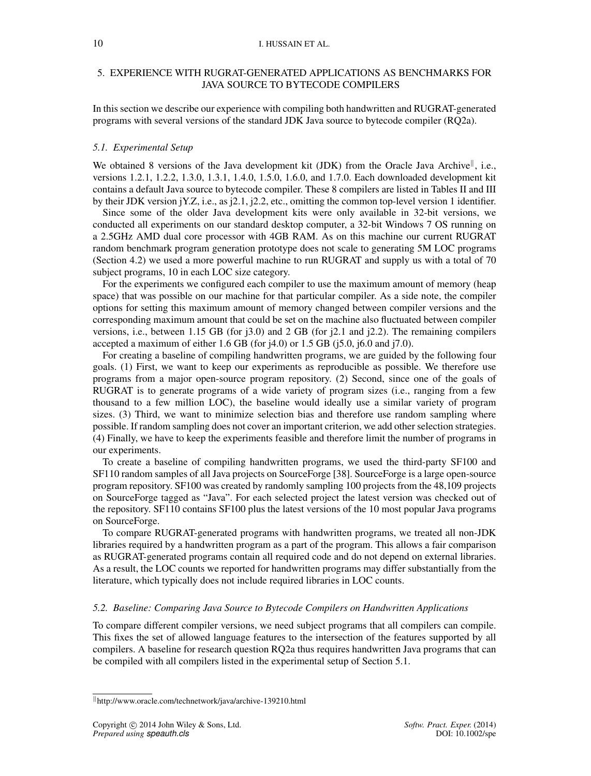### 5. EXPERIENCE WITH RUGRAT-GENERATED APPLICATIONS AS BENCHMARKS FOR JAVA SOURCE TO BYTECODE COMPILERS

In this section we describe our experience with compiling both handwritten and RUGRAT-generated programs with several versions of the standard JDK Java source to bytecode compiler (RQ2a).

#### <span id="page-9-2"></span>*5.1. Experimental Setup*

We obtained 8 versions of the Java development [k](#page-9-1)it (JDK) from the Oracle Java Archive<sup>||</sup>, i.e., versions 1.2.1, 1.2.2, 1.3.0, 1.3.1, 1.4.0, 1.5.0, 1.6.0, and 1.7.0. Each downloaded development kit contains a default Java source to bytecode compiler. These 8 compilers are listed in Tables [II](#page-10-0) and [III](#page-12-0) by their JDK version jY.Z, i.e., as j2.1, j2.2, etc., omitting the common top-level version 1 identifier.

Since some of the older Java development kits were only available in 32-bit versions, we conducted all experiments on our standard desktop computer, a 32-bit Windows 7 OS running on a 2.5GHz AMD dual core processor with 4GB RAM. As on this machine our current RUGRAT random benchmark program generation prototype does not scale to generating 5M LOC programs (Section [4.2\)](#page-8-0) we used a more powerful machine to run RUGRAT and supply us with a total of 70 subject programs, 10 in each LOC size category.

For the experiments we configured each compiler to use the maximum amount of memory (heap space) that was possible on our machine for that particular compiler. As a side note, the compiler options for setting this maximum amount of memory changed between compiler versions and the corresponding maximum amount that could be set on the machine also fluctuated between compiler versions, i.e., between 1.15 GB (for j3.0) and 2 GB (for j2.1 and j2.2). The remaining compilers accepted a maximum of either 1.6 GB (for j4.0) or 1.5 GB (j5.0, j6.0 and j7.0).

For creating a baseline of compiling handwritten programs, we are guided by the following four goals. (1) First, we want to keep our experiments as reproducible as possible. We therefore use programs from a major open-source program repository. (2) Second, since one of the goals of RUGRAT is to generate programs of a wide variety of program sizes (i.e., ranging from a few thousand to a few million LOC), the baseline would ideally use a similar variety of program sizes. (3) Third, we want to minimize selection bias and therefore use random sampling where possible. If random sampling does not cover an important criterion, we add other selection strategies. (4) Finally, we have to keep the experiments feasible and therefore limit the number of programs in our experiments.

To create a baseline of compiling handwritten programs, we used the third-party SF100 and SF110 random samples of all Java projects on SourceForge [\[38\]](#page-26-7). SourceForge is a large open-source program repository. SF100 was created by randomly sampling 100 projects from the 48,109 projects on SourceForge tagged as "Java". For each selected project the latest version was checked out of the repository. SF110 contains SF100 plus the latest versions of the 10 most popular Java programs on SourceForge.

To compare RUGRAT-generated programs with handwritten programs, we treated all non-JDK libraries required by a handwritten program as a part of the program. This allows a fair comparison as RUGRAT-generated programs contain all required code and do not depend on external libraries. As a result, the LOC counts we reported for handwritten programs may differ substantially from the literature, which typically does not include required libraries in LOC counts.

### <span id="page-9-0"></span>*5.2. Baseline: Comparing Java Source to Bytecode Compilers on Handwritten Applications*

To compare different compiler versions, we need subject programs that all compilers can compile. This fixes the set of allowed language features to the intersection of the features supported by all compilers. A baseline for research question RQ2a thus requires handwritten Java programs that can be compiled with all compilers listed in the experimental setup of Section [5.1.](#page-9-2)

<span id="page-9-1"></span><sup>k</sup>http://www.oracle.com/technetwork/java/archive-139210.html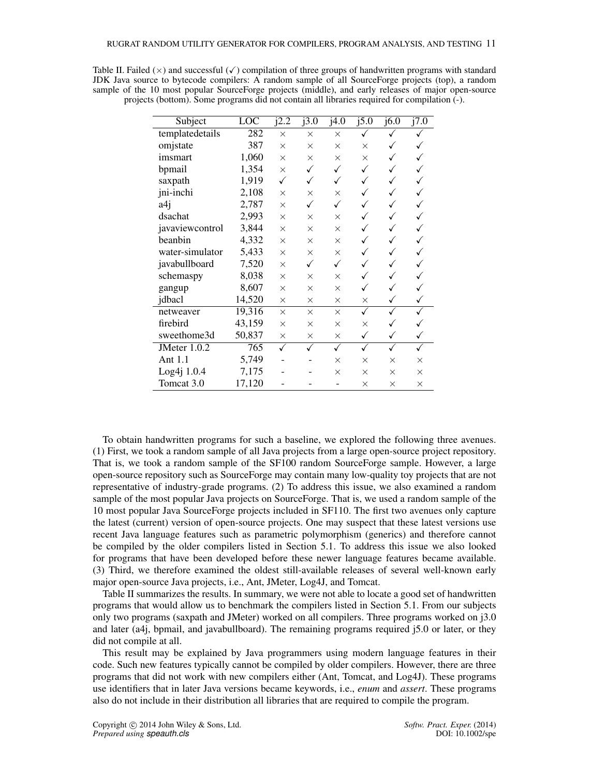<span id="page-10-0"></span>

| Table II. Failed ( $\times$ ) and successful ( $\checkmark$ ) compilation of three groups of handwritten programs with standard |
|---------------------------------------------------------------------------------------------------------------------------------|
| JDK Java source to bytecode compilers: A random sample of all SourceForge projects (top), a random                              |
| sample of the 10 most popular SourceForge projects (middle), and early releases of major open-source                            |
| projects (bottom). Some programs did not contain all libraries required for compilation (-).                                    |

| Subject                   | LOC    | j2.2     | j3.0     | $j4.\overline{0}$ | j5.0     | j6.0     | j7.0     |
|---------------------------|--------|----------|----------|-------------------|----------|----------|----------|
| templatedetails           | 282    | $\times$ | $\times$ | $\times$          | ✓        |          |          |
| omjstate                  | 387    | $\times$ | $\times$ | $\times$          | $\times$ |          |          |
| imsmart                   | 1,060  | $\times$ | $\times$ | $\times$          | $\times$ |          |          |
| bpmail                    | 1,354  | $\times$ | ✓        | ✓                 | ✓        |          |          |
| saxpath                   | 1,919  | ✓        | ✓        |                   | ✓        |          |          |
| jni-inchi                 | 2,108  | $\times$ | $\times$ | X                 | √        |          |          |
| a4j                       | 2,787  | $\times$ | ✓        | ✓                 | ✓        |          |          |
| dsachat                   | 2,993  | $\times$ | $\times$ | $\times$          | ✓        |          |          |
| javaviewcontrol           | 3,844  | $\times$ | $\times$ | $\times$          | ✓        |          |          |
| beanbin                   | 4,332  | $\times$ | $\times$ | $\times$          | ✓        |          |          |
| water-simulator           | 5,433  | $\times$ | $\times$ | $\times$          | ✓        |          |          |
| javabullboard             | 7,520  | $\times$ | ✓        | ✓                 | ✓        |          |          |
| schemaspy                 | 8,038  | $\times$ | $\times$ | $\times$          | ✓        |          |          |
| gangup                    | 8,607  | $\times$ | $\times$ | $\times$          | ✓        |          |          |
| jdbacl                    | 14,520 | $\times$ | $\times$ | $\times$          | $\times$ | ✓        |          |
| netweaver                 | 19,316 | $\times$ | $\times$ | $\times$          |          |          |          |
| firebird                  | 43,159 | $\times$ | $\times$ | $\times$          | $\times$ |          |          |
| sweethome3d               | 50,837 | $\times$ | $\times$ | $\times$          | ✓        | ✓        |          |
| JMeter $1.\overline{0.2}$ | 765    | ✓        |          | ✓                 | ✓        |          |          |
| Ant 1.1                   | 5,749  |          |          | $\times$          | $\times$ | $\times$ | $\times$ |
| Log4j 1.0.4               | 7,175  |          |          | $\times$          | $\times$ | $\times$ | $\times$ |
| Tomcat 3.0                | 17,120 |          |          |                   | ×        | $\times$ | $\times$ |

To obtain handwritten programs for such a baseline, we explored the following three avenues. (1) First, we took a random sample of all Java projects from a large open-source project repository. That is, we took a random sample of the SF100 random SourceForge sample. However, a large open-source repository such as SourceForge may contain many low-quality toy projects that are not representative of industry-grade programs. (2) To address this issue, we also examined a random sample of the most popular Java projects on SourceForge. That is, we used a random sample of the 10 most popular Java SourceForge projects included in SF110. The first two avenues only capture the latest (current) version of open-source projects. One may suspect that these latest versions use recent Java language features such as parametric polymorphism (generics) and therefore cannot be compiled by the older compilers listed in Section [5.1.](#page-9-2) To address this issue we also looked for programs that have been developed before these newer language features became available. (3) Third, we therefore examined the oldest still-available releases of several well-known early major open-source Java projects, i.e., Ant, JMeter, Log4J, and Tomcat.

Table [II](#page-10-0) summarizes the results. In summary, we were not able to locate a good set of handwritten programs that would allow us to benchmark the compilers listed in Section [5.1.](#page-9-2) From our subjects only two programs (saxpath and JMeter) worked on all compilers. Three programs worked on j3.0 and later (a4j, bpmail, and javabullboard). The remaining programs required j5.0 or later, or they did not compile at all.

This result may be explained by Java programmers using modern language features in their code. Such new features typically cannot be compiled by older compilers. However, there are three programs that did not work with new compilers either (Ant, Tomcat, and Log4J). These programs use identifiers that in later Java versions became keywords, i.e., *enum* and *assert*. These programs also do not include in their distribution all libraries that are required to compile the program.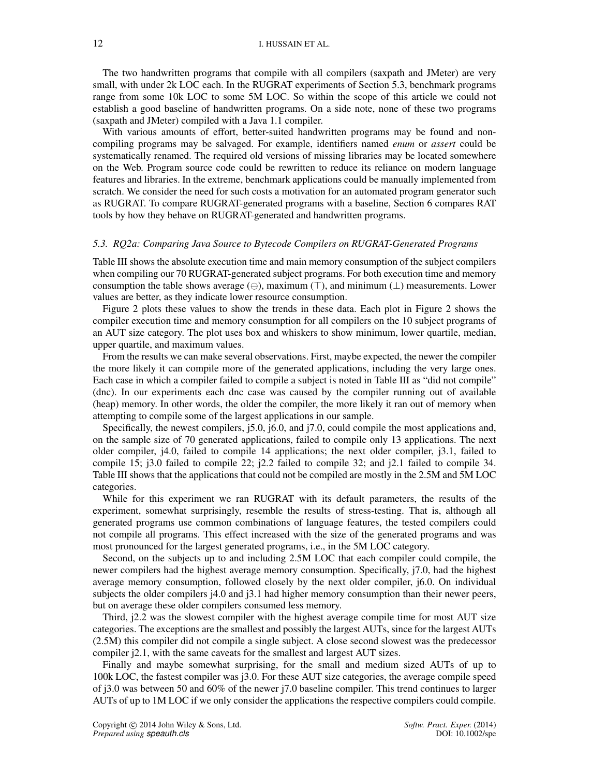The two handwritten programs that compile with all compilers (saxpath and JMeter) are very small, with under 2k LOC each. In the RUGRAT experiments of Section [5.3,](#page-11-0) benchmark programs range from some 10k LOC to some 5M LOC. So within the scope of this article we could not establish a good baseline of handwritten programs. On a side note, none of these two programs (saxpath and JMeter) compiled with a Java 1.1 compiler.

With various amounts of effort, better-suited handwritten programs may be found and noncompiling programs may be salvaged. For example, identifiers named *enum* or *assert* could be systematically renamed. The required old versions of missing libraries may be located somewhere on the Web. Program source code could be rewritten to reduce its reliance on modern language features and libraries. In the extreme, benchmark applications could be manually implemented from scratch. We consider the need for such costs a motivation for an automated program generator such as RUGRAT. To compare RUGRAT-generated programs with a baseline, Section [6](#page-13-0) compares RAT tools by how they behave on RUGRAT-generated and handwritten programs.

### <span id="page-11-0"></span>*5.3. RQ2a: Comparing Java Source to Bytecode Compilers on RUGRAT-Generated Programs*

Table [III](#page-12-0) shows the absolute execution time and main memory consumption of the subject compilers when compiling our 70 RUGRAT-generated subject programs. For both execution time and memory consumption the table shows average  $(\ominus)$ , maximum  $(\top)$ , and minimum  $(\bot)$  measurements. Lower values are better, as they indicate lower resource consumption.

Figure [2](#page-13-1) plots these values to show the trends in these data. Each plot in Figure [2](#page-13-1) shows the compiler execution time and memory consumption for all compilers on the 10 subject programs of an AUT size category. The plot uses box and whiskers to show minimum, lower quartile, median, upper quartile, and maximum values.

From the results we can make several observations. First, maybe expected, the newer the compiler the more likely it can compile more of the generated applications, including the very large ones. Each case in which a compiler failed to compile a subject is noted in Table [III](#page-12-0) as "did not compile" (dnc). In our experiments each dnc case was caused by the compiler running out of available (heap) memory. In other words, the older the compiler, the more likely it ran out of memory when attempting to compile some of the largest applications in our sample.

Specifically, the newest compilers, j5.0, j6.0, and j7.0, could compile the most applications and, on the sample size of 70 generated applications, failed to compile only 13 applications. The next older compiler, j4.0, failed to compile 14 applications; the next older compiler, j3.1, failed to compile 15; j3.0 failed to compile 22; j2.2 failed to compile 32; and j2.1 failed to compile 34. Table [III](#page-12-0) shows that the applications that could not be compiled are mostly in the 2.5M and 5M LOC categories.

While for this experiment we ran RUGRAT with its default parameters, the results of the experiment, somewhat surprisingly, resemble the results of stress-testing. That is, although all generated programs use common combinations of language features, the tested compilers could not compile all programs. This effect increased with the size of the generated programs and was most pronounced for the largest generated programs, i.e., in the 5M LOC category.

Second, on the subjects up to and including 2.5M LOC that each compiler could compile, the newer compilers had the highest average memory consumption. Specifically, j7.0, had the highest average memory consumption, followed closely by the next older compiler, j6.0. On individual subjects the older compilers j4.0 and j3.1 had higher memory consumption than their newer peers, but on average these older compilers consumed less memory.

Third, j2.2 was the slowest compiler with the highest average compile time for most AUT size categories. The exceptions are the smallest and possibly the largest AUTs, since for the largest AUTs (2.5M) this compiler did not compile a single subject. A close second slowest was the predecessor compiler j2.1, with the same caveats for the smallest and largest AUT sizes.

Finally and maybe somewhat surprising, for the small and medium sized AUTs of up to 100k LOC, the fastest compiler was j3.0. For these AUT size categories, the average compile speed of j3.0 was between 50 and 60% of the newer j7.0 baseline compiler. This trend continues to larger AUTs of up to 1M LOC if we only consider the applications the respective compilers could compile.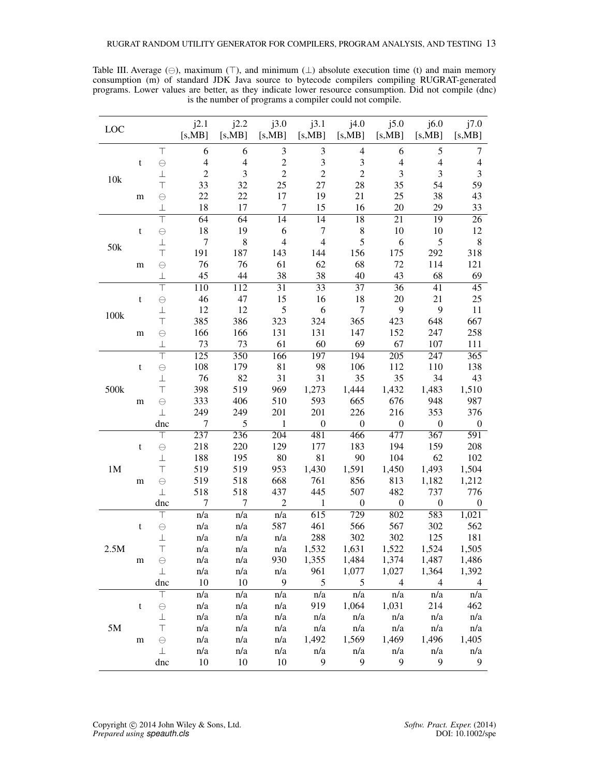<span id="page-12-0"></span>

| Table III. Average ( $\ominus$ ), maximum (T), and minimum ( $\perp$ ) absolute execution time (t) and main memory |
|--------------------------------------------------------------------------------------------------------------------|
| consumption (m) of standard JDK Java source to bytecode compilers compiling RUGRAT-generated                       |
| programs. Lower values are better, as they indicate lower resource consumption. Did not compile (dnc)              |
| is the number of programs a compiler could not compile.                                                            |

| LOC  |   |                   | j2.1             | j2.2                    | j3.0             | j3.1             | j4.0             | j5.0             | j6.0             | j7.0             |
|------|---|-------------------|------------------|-------------------------|------------------|------------------|------------------|------------------|------------------|------------------|
|      |   |                   | [s, MB]          | [s, MB]                 | [s, MB]          | [s, MB]          | [s, MB]          | [s, MB]          | [s, MB]          | [s, MB]          |
|      |   | $\top$            | 6                | 6                       | $\mathfrak{Z}$   | $\mathfrak{Z}$   | $\overline{4}$   | 6                | 5                | $\tau$           |
|      | t | $\ominus$         | $\overline{4}$   | $\overline{4}$          | $\sqrt{2}$       | $\mathfrak{Z}$   | $\mathfrak 3$    | $\overline{4}$   | $\overline{4}$   | $\overline{4}$   |
| 10k  |   | $\perp$           | $\overline{c}$   | $\overline{\mathbf{3}}$ | $\overline{2}$   | $\overline{c}$   | $\overline{2}$   | $\overline{3}$   | 3                | $\mathfrak{Z}$   |
|      |   | Τ                 | 33               | 32                      | 25               | 27               | 28               | 35               | 54               | 59               |
|      | m | $\ominus$         | 22               | 22                      | 17               | 19               | 21               | 25               | 38               | 43               |
|      |   | ⊥                 | 18               | 17                      | 7                | 15               | 16               | 20               | 29               | 33               |
|      |   | T                 | 64               | 64                      | 14               | $\overline{14}$  | 18               | $\overline{21}$  | 19               | $\overline{26}$  |
|      | t | $\ominus$         | 18               | 19                      | 6                | $\tau$           | $\,8\,$          | 10               | 10               | 12               |
|      |   | $\perp$           | 7                | $\,$ 8 $\,$             | $\overline{4}$   | $\overline{4}$   | 5                | 6                | 5                | $\,$ 8 $\,$      |
| 50k  |   | Τ                 | 191              | 187                     | 143              | 144              | 156              | 175              | 292              | 318              |
|      | m | $\ominus$         | 76               | 76                      | 61               | 62               | 68               | 72               | 114              | 121              |
|      |   | $\perp$           | 45               | 44                      | 38               | 38               | 40               | 43               | 68               | 69               |
|      |   | Τ                 | 110              | 112                     | 31               | 33               | $\overline{37}$  | $\overline{36}$  | $\overline{41}$  | $\overline{45}$  |
|      | t | $\ominus$         | 46               | 47                      | 15               | 16               | 18               | 20               | 21               | 25               |
|      |   | $\perp$           | 12               | 12                      | $\sqrt{5}$       | 6                | $\boldsymbol{7}$ | 9                | 9                | 11               |
| 100k |   | $\top$            | 385              | 386                     | 323              | 324              | 365              | 423              | 648              | 667              |
|      | m | $\ominus$         | 166              | 166                     | 131              | 131              | 147              | 152              | 247              | 258              |
|      |   | $\bot$            | 73               | 73                      | 61               | 60               | 69               | 67               | 107              | 111              |
|      |   | $\overline{\top}$ | 125              | 350                     | 166              | 197              | 194              | $\overline{205}$ | 247              | 365              |
|      | t | $\ominus$         | 108              | 179                     | 81               | 98               | 106              | 112              | 110              | 138              |
|      |   | $\perp$           | 76               | 82                      | 31               | 31               | 35               | 35               | 34               | 43               |
| 500k |   | Τ                 | 398              | 519                     | 969              | 1,273            | 1,444            | 1,432            | 1,483            | 1,510            |
|      | m | $\ominus$         | 333              | 406                     | 510              | 593              | 665              | 676              | 948              | 987              |
|      |   | $\perp$           | 249              | 249                     | 201              | 201              | 226              | 216              | 353              | 376              |
|      |   | dnc               | $\overline{7}$   | $\mathfrak s$           | $\mathbf{1}$     | $\boldsymbol{0}$ | $\boldsymbol{0}$ | $\boldsymbol{0}$ | $\boldsymbol{0}$ | $\mathbf{0}$     |
|      |   | Τ                 | 237              | 236                     | $\overline{204}$ | 481              | 466              | 477              | 367              | $\overline{591}$ |
|      |   |                   | 218              | 220                     | 129              | 177              | 183              | 194              | 159              | 208              |
|      | t | $\ominus$         | 188              | 195                     | 80               | 81               | 90               | 104              | 62               | 102              |
|      |   | ⊥<br>Τ            |                  |                         |                  |                  |                  |                  |                  |                  |
| 1M   |   |                   | 519<br>519       | 519                     | 953<br>668       | 1,430<br>761     | 1,591<br>856     | 1,450            | 1,493            | 1,504            |
|      | m | $\ominus$         |                  | 518                     |                  |                  |                  | 813              | 1,182            | 1,212            |
|      |   | $\perp$           | 518              | 518                     | 437              | 445              | 507              | 482              | 737              | 776              |
|      |   | dnc               | $\boldsymbol{7}$ | $\boldsymbol{7}$        | $\boldsymbol{2}$ | $\,1$            | $\boldsymbol{0}$ | $\boldsymbol{0}$ | $\boldsymbol{0}$ | $\boldsymbol{0}$ |
|      |   | Τ                 | $\overline{n/a}$ | n/a                     | n/a              | 615              | 729              | 802              | 583              | 1,021            |
|      | t | $\ominus$         | n/a              | n/a                     | 587              | 461              | 566              | 567              | 302              | 562              |
|      |   | $\bot$            | n/a              | n/a                     | n/a              | 288              | 302              | 302              | 125              | 181              |
| 2.5M |   | $\top$            | n/a              | n/a                     | n/a              | 1,532            | 1,631            | 1,522            | 1,524            | 1,505            |
|      | m | $\ominus$         | n/a              | n/a                     | 930              | 1,355            | 1,484            | 1,374            | 1,487            | 1,486            |
|      |   | $\perp$           | n/a              | n/a                     | n/a              | 961              | 1,077            | 1,027            | 1,364            | 1,392            |
|      |   | dnc               | 10               | 10                      | 9                | $5\overline{)}$  | $\overline{5}$   | $\overline{4}$   | $\overline{4}$   | $\overline{4}$   |
|      |   | T                 | n/a              | n/a                     | n/a              | n/a              | n/a              | n/a              | n/a              | n/a              |
|      | t | $\ominus$         | n/a              | n/a                     | n/a              | 919              | 1,064            | 1,031            | 214              | 462              |
|      |   | $\perp$           | n/a              | n/a                     | n/a              | n/a              | n/a              | n/a              | n/a              | n/a              |
| 5M   |   | Τ                 | n/a              | n/a                     | n/a              | n/a              | n/a              | n/a              | n/a              | n/a              |
|      | m | $\ominus$         | n/a              | n/a                     | n/a              | 1,492            | 1,569            | 1,469            | 1,496            | 1,405            |
|      |   | $\perp$           | n/a              | n/a                     | n/a              | n/a              | n/a              | n/a              | n/a              | n/a              |
|      |   | dnc               | 10               | 10                      | 10               | 9                | 9                | 9                | 9                | 9                |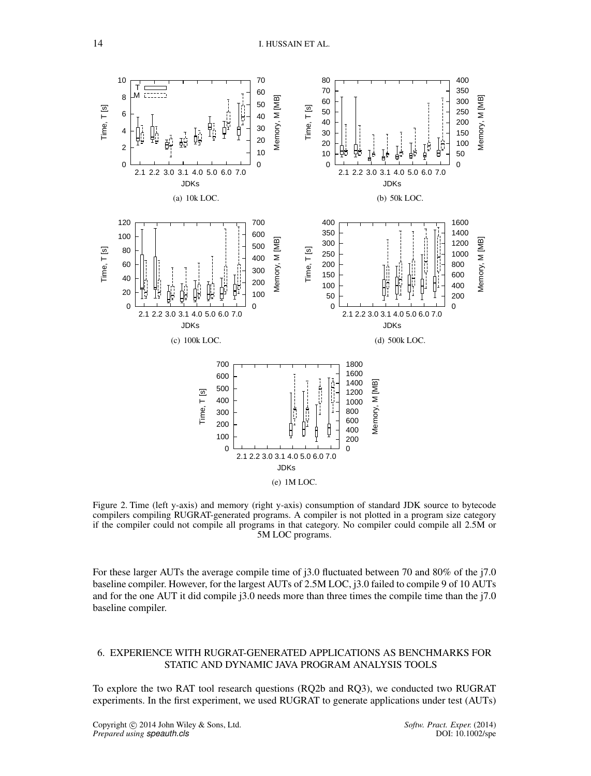<span id="page-13-1"></span>

Figure 2. Time (left y-axis) and memory (right y-axis) consumption of standard JDK source to bytecode compilers compiling RUGRAT-generated programs. A compiler is not plotted in a program size category if the compiler could not compile all programs in that category. No compiler could compile all 2.5M or 5M LOC programs.

For these larger AUTs the average compile time of j3.0 fluctuated between 70 and 80% of the j7.0 baseline compiler. However, for the largest AUTs of 2.5M LOC, j3.0 failed to compile 9 of 10 AUTs and for the one AUT it did compile j3.0 needs more than three times the compile time than the j7.0 baseline compiler.

# <span id="page-13-0"></span>6. EXPERIENCE WITH RUGRAT-GENERATED APPLICATIONS AS BENCHMARKS FOR STATIC AND DYNAMIC JAVA PROGRAM ANALYSIS TOOLS

To explore the two RAT tool research questions (RQ2b and RQ3), we conducted two RUGRAT experiments. In the first experiment, we used RUGRAT to generate applications under test (AUTs)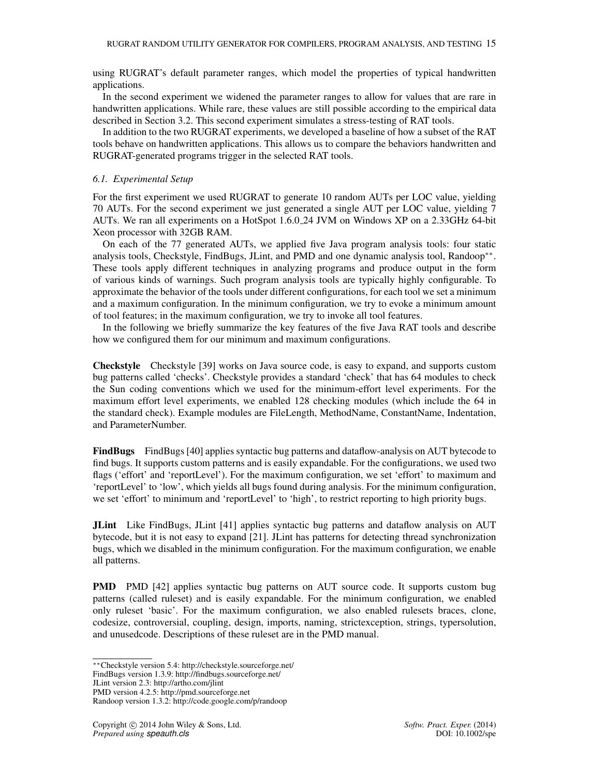using RUGRAT's default parameter ranges, which model the properties of typical handwritten applications.

In the second experiment we widened the parameter ranges to allow for values that are rare in handwritten applications. While rare, these values are still possible according to the empirical data described in Section [3.2.](#page-5-1) This second experiment simulates a stress-testing of RAT tools.

In addition to the two RUGRAT experiments, we developed a baseline of how a subset of the RAT tools behave on handwritten applications. This allows us to compare the behaviors handwritten and RUGRAT-generated programs trigger in the selected RAT tools.

### <span id="page-14-1"></span>*6.1. Experimental Setup*

For the first experiment we used RUGRAT to generate 10 random AUTs per LOC value, yielding 70 AUTs. For the second experiment we just generated a single AUT per LOC value, yielding 7 AUTs. We ran all experiments on a HotSpot 1.6.0 24 JVM on Windows XP on a 2.33GHz 64-bit Xeon processor with 32GB RAM.

On each of the 77 generated AUTs, we applied five Java program analysis tools: four static analysis tools, Checkstyle, FindBugs, JLint, and PMD and one dynamic analysis tool, Randoop[∗∗](#page-14-0) . These tools apply different techniques in analyzing programs and produce output in the form of various kinds of warnings. Such program analysis tools are typically highly configurable. To approximate the behavior of the tools under different configurations, for each tool we set a minimum and a maximum configuration. In the minimum configuration, we try to evoke a minimum amount of tool features; in the maximum configuration, we try to invoke all tool features.

In the following we briefly summarize the key features of the five Java RAT tools and describe how we configured them for our minimum and maximum configurations.

Checkstyle Checkstyle [\[39\]](#page-26-8) works on Java source code, is easy to expand, and supports custom bug patterns called 'checks'. Checkstyle provides a standard 'check' that has 64 modules to check the Sun coding conventions which we used for the minimum-effort level experiments. For the maximum effort level experiments, we enabled 128 checking modules (which include the 64 in the standard check). Example modules are FileLength, MethodName, ConstantName, Indentation, and ParameterNumber.

FindBugs FindBugs [\[40\]](#page-26-9) applies syntactic bug patterns and dataflow-analysis on AUT bytecode to find bugs. It supports custom patterns and is easily expandable. For the configurations, we used two flags ('effort' and 'reportLevel'). For the maximum configuration, we set 'effort' to maximum and 'reportLevel' to 'low', which yields all bugs found during analysis. For the minimum configuration, we set 'effort' to minimum and 'reportLevel' to 'high', to restrict reporting to high priority bugs.

JLint Like FindBugs, JLint [\[41\]](#page-26-10) applies syntactic bug patterns and dataflow analysis on AUT bytecode, but it is not easy to expand [\[21\]](#page-25-20). JLint has patterns for detecting thread synchronization bugs, which we disabled in the minimum configuration. For the maximum configuration, we enable all patterns.

PMD PMD [\[42\]](#page-26-11) applies syntactic bug patterns on AUT source code. It supports custom bug patterns (called ruleset) and is easily expandable. For the minimum configuration, we enabled only ruleset 'basic'. For the maximum configuration, we also enabled rulesets braces, clone, codesize, controversial, coupling, design, imports, naming, strictexception, strings, typersolution, and unusedcode. Descriptions of these ruleset are in the PMD manual.

JLint version 2.3: http://artho.com/jlint

<span id="page-14-0"></span><sup>∗∗</sup>Checkstyle version 5.4: http://checkstyle.sourceforge.net/

FindBugs version 1.3.9: http://findbugs.sourceforge.net/

PMD version 4.2.5: http://pmd.sourceforge.net

Randoop version 1.3.2: http://code.google.com/p/randoop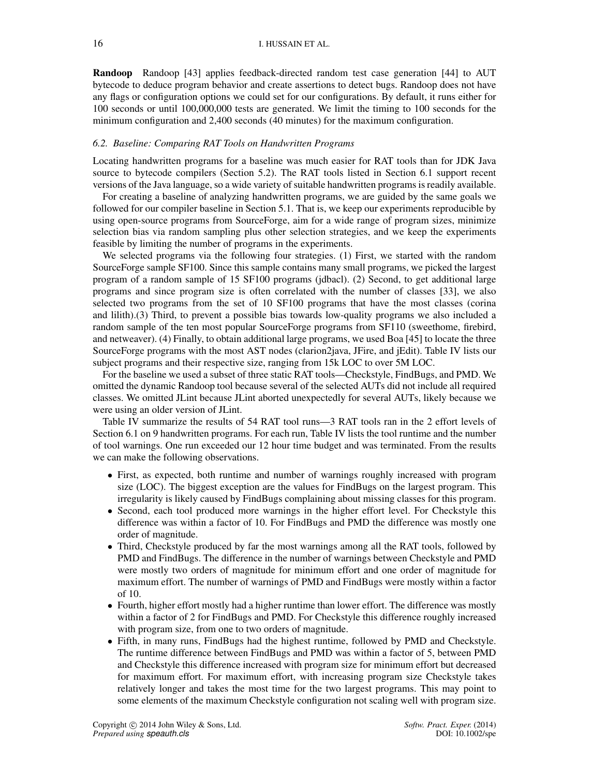Randoop Randoop [\[43\]](#page-26-12) applies feedback-directed random test case generation [\[44\]](#page-26-13) to AUT bytecode to deduce program behavior and create assertions to detect bugs. Randoop does not have any flags or configuration options we could set for our configurations. By default, it runs either for 100 seconds or until 100,000,000 tests are generated. We limit the timing to 100 seconds for the minimum configuration and 2,400 seconds (40 minutes) for the maximum configuration.

### <span id="page-15-0"></span>*6.2. Baseline: Comparing RAT Tools on Handwritten Programs*

Locating handwritten programs for a baseline was much easier for RAT tools than for JDK Java source to bytecode compilers (Section [5.2\)](#page-9-0). The RAT tools listed in Section [6.1](#page-14-1) support recent versions of the Java language, so a wide variety of suitable handwritten programs is readily available.

For creating a baseline of analyzing handwritten programs, we are guided by the same goals we followed for our compiler baseline in Section [5.1.](#page-9-2) That is, we keep our experiments reproducible by using open-source programs from SourceForge, aim for a wide range of program sizes, minimize selection bias via random sampling plus other selection strategies, and we keep the experiments feasible by limiting the number of programs in the experiments.

We selected programs via the following four strategies. (1) First, we started with the random SourceForge sample SF100. Since this sample contains many small programs, we picked the largest program of a random sample of 15 SF100 programs (jdbacl). (2) Second, to get additional large programs and since program size is often correlated with the number of classes [\[33\]](#page-26-2), we also selected two programs from the set of 10 SF100 programs that have the most classes (corina and lilith).(3) Third, to prevent a possible bias towards low-quality programs we also included a random sample of the ten most popular SourceForge programs from SF110 (sweethome, firebird, and netweaver). (4) Finally, to obtain additional large programs, we used Boa [\[45\]](#page-26-14) to locate the three SourceForge programs with the most AST nodes (clarion2java, JFire, and jEdit). Table [IV](#page-16-0) lists our subject programs and their respective size, ranging from 15k LOC to over 5M LOC.

For the baseline we used a subset of three static RAT tools—Checkstyle, FindBugs, and PMD. We omitted the dynamic Randoop tool because several of the selected AUTs did not include all required classes. We omitted JLint because JLint aborted unexpectedly for several AUTs, likely because we were using an older version of JLint.

Table [IV](#page-16-0) summarize the results of 54 RAT tool runs—3 RAT tools ran in the 2 effort levels of Section [6.1](#page-14-1) on 9 handwritten programs. For each run, Table [IV](#page-16-0) lists the tool runtime and the number of tool warnings. One run exceeded our 12 hour time budget and was terminated. From the results we can make the following observations.

- First, as expected, both runtime and number of warnings roughly increased with program size (LOC). The biggest exception are the values for FindBugs on the largest program. This irregularity is likely caused by FindBugs complaining about missing classes for this program.
- Second, each tool produced more warnings in the higher effort level. For Checkstyle this difference was within a factor of 10. For FindBugs and PMD the difference was mostly one order of magnitude.
- Third, Checkstyle produced by far the most warnings among all the RAT tools, followed by PMD and FindBugs. The difference in the number of warnings between Checkstyle and PMD were mostly two orders of magnitude for minimum effort and one order of magnitude for maximum effort. The number of warnings of PMD and FindBugs were mostly within a factor of 10.
- Fourth, higher effort mostly had a higher runtime than lower effort. The difference was mostly within a factor of 2 for FindBugs and PMD. For Checkstyle this difference roughly increased with program size, from one to two orders of magnitude.
- Fifth, in many runs, FindBugs had the highest runtime, followed by PMD and Checkstyle. The runtime difference between FindBugs and PMD was within a factor of 5, between PMD and Checkstyle this difference increased with program size for minimum effort but decreased for maximum effort. For maximum effort, with increasing program size Checkstyle takes relatively longer and takes the most time for the two largest programs. This may point to some elements of the maximum Checkstyle configuration not scaling well with program size.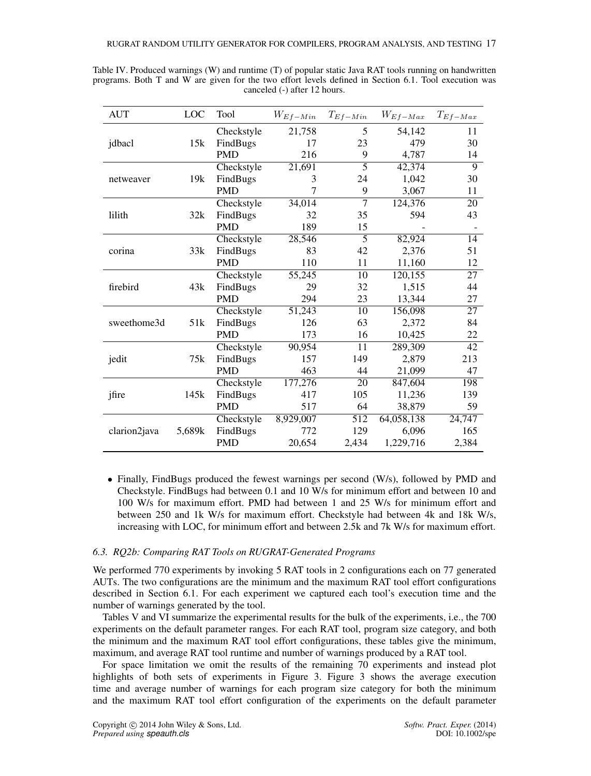| <b>AUT</b>   | LOC    | Tool       | $W_{Ef-Min}$ | $T_{Ef-Min}$     | $W_{Ef-Max}$ | $T_{Ef-Max}$    |
|--------------|--------|------------|--------------|------------------|--------------|-----------------|
|              |        | Checkstyle | 21,758       | 5                | 54,142       | 11              |
| jdbacl       | 15k    | FindBugs   | 17           | 23               | 479          | 30              |
|              |        | <b>PMD</b> | 216          | 9                | 4,787        | 14              |
|              |        | Checkstyle | 21,691       | $\overline{5}$   | 42,374       | 9               |
| netweaver    | 19k    | FindBugs   | 3            | 24               | 1,042        | 30              |
|              |        | <b>PMD</b> | 7            | 9                | 3,067        | 11              |
|              |        | Checkstyle | 34,014       | $\overline{7}$   | 124,376      | 20              |
| lilith       | 32k    | FindBugs   | 32           | 35               | 594          | 43              |
|              |        | <b>PMD</b> | 189          | 15               |              |                 |
|              |        | Checkstyle | 28,546       | $\overline{5}$   | 82,924       | $\overline{14}$ |
| corina       | 33k    | FindBugs   | 83           | 42               | 2,376        | 51              |
|              |        | <b>PMD</b> | 110          | 11               | 11,160       | 12              |
|              |        | Checkstyle | 55,245       | 10               | 120,155      | $\overline{27}$ |
| firebird     | 43k    | FindBugs   | 29           | 32               | 1,515        | 44              |
|              |        | <b>PMD</b> | 294          | 23               | 13,344       | 27              |
|              |        | Checkstyle | 51,243       | 10               | 156,098      | $\overline{27}$ |
| sweethome3d  | 51k    | FindBugs   | 126          | 63               | 2,372        | 84              |
|              |        | <b>PMD</b> | 173          | 16               | 10,425       | 22              |
|              |        | Checkstyle | 90,954       | $\overline{11}$  | 289,309      | 42              |
| jedit        | 75k    | FindBugs   | 157          | 149              | 2,879        | 213             |
|              |        | <b>PMD</b> | 463          | 44               | 21,099       | 47              |
|              |        | Checkstyle | 177,276      | $\overline{20}$  | 847,604      | 198             |
| jfire        | 145k   | FindBugs   | 417          | 105              | 11,236       | 139             |
|              |        | <b>PMD</b> | 517          | 64               | 38,879       | 59              |
|              |        | Checkstyle | 8,929,007    | $\overline{512}$ | 64,058,138   | 24, 747         |
| clarion2java | 5,689k | FindBugs   | 772          | 129              | 6,096        | 165             |
|              |        | <b>PMD</b> | 20,654       | 2,434            | 1,229,716    | 2,384           |

<span id="page-16-0"></span>Table IV. Produced warnings (W) and runtime (T) of popular static Java RAT tools running on handwritten programs. Both T and W are given for the two effort levels defined in Section [6.1.](#page-14-1) Tool execution was canceled (-) after 12 hours.

• Finally, FindBugs produced the fewest warnings per second (W/s), followed by PMD and Checkstyle. FindBugs had between 0.1 and 10 W/s for minimum effort and between 10 and 100 W/s for maximum effort. PMD had between 1 and 25 W/s for minimum effort and between 250 and 1k W/s for maximum effort. Checkstyle had between 4k and 18k W/s, increasing with LOC, for minimum effort and between 2.5k and 7k W/s for maximum effort.

### *6.3. RQ2b: Comparing RAT Tools on RUGRAT-Generated Programs*

We performed 770 experiments by invoking 5 RAT tools in 2 configurations each on 77 generated AUTs. The two configurations are the minimum and the maximum RAT tool effort configurations described in Section [6.1.](#page-14-1) For each experiment we captured each tool's execution time and the number of warnings generated by the tool.

Tables [V](#page-17-0) and [VI](#page-18-0) summarize the experimental results for the bulk of the experiments, i.e., the 700 experiments on the default parameter ranges. For each RAT tool, program size category, and both the minimum and the maximum RAT tool effort configurations, these tables give the minimum, maximum, and average RAT tool runtime and number of warnings produced by a RAT tool.

For space limitation we omit the results of the remaining 70 experiments and instead plot highlights of both sets of experiments in Figure [3.](#page-19-0) Figure [3](#page-19-0) shows the average execution time and average number of warnings for each program size category for both the minimum and the maximum RAT tool effort configuration of the experiments on the default parameter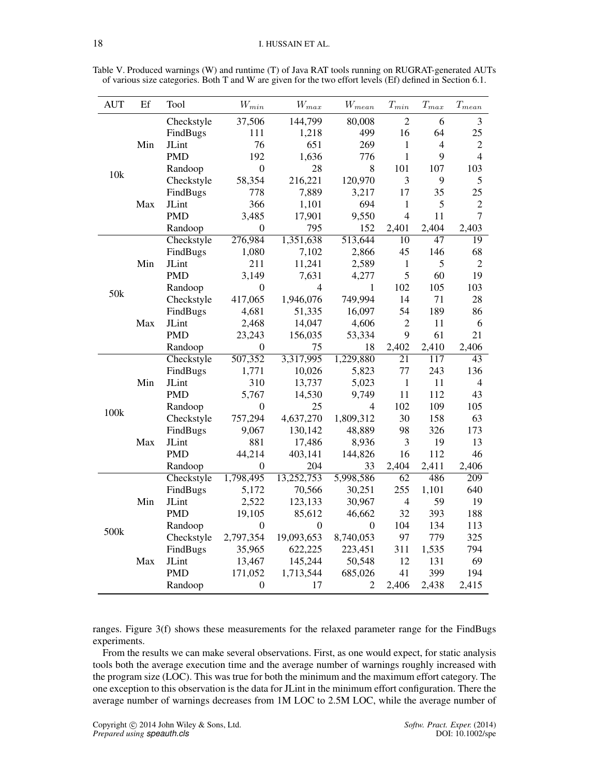| I | ٦       |
|---|---------|
|   | I<br>۰. |
|   | ×<br>v  |

<span id="page-17-0"></span>

| Table V. Produced warnings (W) and runtime (T) of Java RAT tools running on RUGRAT-generated AUTs         |  |  |  |
|-----------------------------------------------------------------------------------------------------------|--|--|--|
| of various size categories. Both T and W are given for the two effort levels (Ef) defined in Section 6.1. |  |  |  |

| <b>AUT</b>      | Ef  | <b>Tool</b> | $\mathcal{W}_{min}$ | $W_{\max}$       | $\mathcal{W}_{mean}$ | ${\cal T}_{min}$ | $T_{max}$        | $\mathcal{T}_{mean}$ |
|-----------------|-----|-------------|---------------------|------------------|----------------------|------------------|------------------|----------------------|
|                 |     | Checkstyle  | 37,506              | 144,799          | 80,008               | $\overline{2}$   | 6                | 3                    |
|                 |     | FindBugs    | 111                 | 1,218            | 499                  | 16               | 64               | 25                   |
|                 | Min | JLint       | 76                  | 651              | 269                  | 1                | 4                | $\overline{2}$       |
|                 |     | <b>PMD</b>  | 192                 | 1,636            | 776                  | $\mathbf{1}$     | 9                | $\overline{4}$       |
| 10k             |     | Randoop     | $\boldsymbol{0}$    | 28               | 8                    | 101              | 107              | 103                  |
|                 |     | Checkstyle  | 58,354              | 216,221          | 120,970              | 3                | 9                | 5                    |
|                 |     | FindBugs    | 778                 | 7,889            | 3,217                | 17               | 35               | 25                   |
|                 | Max | JLint       | 366                 | 1,101            | 694                  | $\mathbf{1}$     | 5                | $\overline{2}$       |
|                 |     | <b>PMD</b>  | 3,485               | 17,901           | 9,550                | $\overline{4}$   | 11               | 7                    |
|                 |     | Randoop     | $\Omega$            | 795              | 152                  | 2,401            | 2,404            | 2,403                |
|                 |     | Checkstyle  | 276,984             | 1,351,638        | 513,644              | $\overline{10}$  | 47               | 19                   |
|                 |     | FindBugs    | 1,080               | 7,102            | 2,866                | 45               | 146              | 68                   |
|                 | Min | JLint       | 211                 | 11,241           | 2,589                | $\mathbf{1}$     | 5                | 2                    |
|                 |     | <b>PMD</b>  | 3,149               | 7.631            | 4,277                | 5                | 60               | 19                   |
| 50 <sub>k</sub> |     | Randoop     | $\theta$            | $\overline{4}$   | 1                    | 102              | 105              | 103                  |
|                 |     | Checkstyle  | 417,065             | 1,946,076        | 749,994              | 14               | 71               | 28                   |
|                 |     | FindBugs    | 4,681               | 51,335           | 16,097               | 54               | 189              | 86                   |
|                 | Max | JLint       | 2,468               | 14,047           | 4,606                | $\overline{2}$   | 11               | 6                    |
|                 |     | <b>PMD</b>  | 23,243              | 156,035          | 53,334               | 9                | 61               | 21                   |
|                 |     | Randoop     | $\Omega$            | 75               | 18                   | 2,402            | 2,410            | 2,406                |
|                 |     | Checkstyle  | 507,352             | 3,317,995        | 1,229,880            | $\overline{21}$  | $\overline{117}$ | 43                   |
|                 |     | FindBugs    | 1,771               | 10,026           | 5,823                | 77               | 243              | 136                  |
|                 | Min | JLint       | 310                 | 13,737           | 5,023                | 1                | 11               | $\overline{4}$       |
|                 |     | <b>PMD</b>  | 5,767               | 14,530           | 9,749                | 11               | 112              | 43                   |
| 100k            |     | Randoop     | $\theta$            | 25               | 4                    | 102              | 109              | 105                  |
|                 |     | Checkstyle  | 757,294             | 4,637,270        | 1,809,312            | 30               | 158              | 63                   |
|                 |     | FindBugs    | 9,067               | 130,142          | 48,889               | 98               | 326              | 173                  |
|                 | Max | JLint       | 881                 | 17,486           | 8,936                | 3                | 19               | 13                   |
|                 |     | <b>PMD</b>  | 44,214              | 403,141          | 144,826              | 16               | 112              | 46                   |
|                 |     | Randoop     | $\boldsymbol{0}$    | 204              | 33                   | 2,404            | 2,411            | 2,406                |
|                 |     | Checkstyle  | 1,798,495           | 13,252,753       | 5,998,586            | 62               | 486              | 209                  |
|                 |     | FindBugs    | 5,172               | 70,566           | 30,251               | 255              | 1,101            | 640                  |
|                 | Min | JLint       | 2,522               | 123,133          | 30,967               | $\overline{4}$   | 59               | 19                   |
|                 |     | <b>PMD</b>  | 19,105              | 85,612           | 46,662               | 32               | 393              | 188                  |
| 500k            |     | Randoop     | $\overline{0}$      | $\boldsymbol{0}$ | $\boldsymbol{0}$     | 104              | 134              | 113                  |
|                 |     | Checkstyle  | 2,797,354           | 19,093,653       | 8,740,053            | 97               | 779              | 325                  |
|                 |     | FindBugs    | 35,965              | 622,225          | 223,451              | 311              | 1,535            | 794                  |
|                 | Max | JLint       | 13,467              | 145,244          | 50,548               | 12               | 131              | 69                   |
|                 |     | <b>PMD</b>  | 171,052             | 1,713,544        | 685,026              | 41               | 399              | 194                  |
|                 |     | Randoop     | $\boldsymbol{0}$    | 17               | $\overline{2}$       | 2,406            | 2,438            | 2,415                |

ranges. Figure [3\(f\)](#page-19-1) shows these measurements for the relaxed parameter range for the FindBugs experiments.

From the results we can make several observations. First, as one would expect, for static analysis tools both the average execution time and the average number of warnings roughly increased with the program size (LOC). This was true for both the minimum and the maximum effort category. The one exception to this observation is the data for JLint in the minimum effort configuration. There the average number of warnings decreases from 1M LOC to 2.5M LOC, while the average number of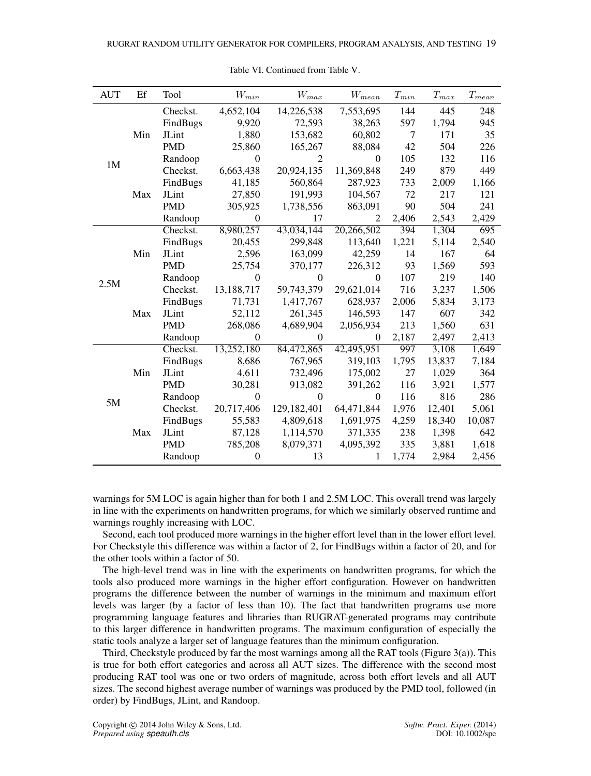<span id="page-18-0"></span>

| <b>AUT</b>     | Ef  | Tool       | $W_{min}$      | $W_{max}$        | $W_{mean}$       | $\mathcal{T}_{min}$ | $T_{max}$ | ${\cal T}_{mean}$ |
|----------------|-----|------------|----------------|------------------|------------------|---------------------|-----------|-------------------|
|                |     | Checkst.   | 4,652,104      | 14,226,538       | 7,553,695        | 144                 | 445       | 248               |
| 1 <sub>M</sub> |     | FindBugs   | 9,920          | 72,593           | 38,263           | 597                 | 1,794     | 945               |
|                | Min | JLint      | 1,880          | 153,682          | 60,802           | $\tau$              | 171       | 35                |
|                |     | <b>PMD</b> | 25,860         | 165,267          | 88,084           | 42                  | 504       | 226               |
|                |     | Randoop    | $\theta$       | $\overline{2}$   | $\theta$         | 105                 | 132       | 116               |
|                |     | Checkst.   | 6,663,438      | 20,924,135       | 11,369,848       | 249                 | 879       | 449               |
|                |     | FindBugs   | 41,185         | 560,864          | 287,923          | 733                 | 2,009     | 1,166             |
|                | Max | JLint      | 27,850         | 191,993          | 104,567          | 72                  | 217       | 121               |
|                |     | <b>PMD</b> | 305,925        | 1,738,556        | 863,091          | 90                  | 504       | 241               |
|                |     | Randoop    | $\theta$       | 17               | 2                | 2,406               | 2,543     | 2,429             |
|                |     | Checkst.   | 8,980,257      | 43,034,144       | 20,266,502       | 394                 | 1,304     | 695               |
|                |     | FindBugs   | 20,455         | 299,848          | 113,640          | 1,221               | 5,114     | 2,540             |
|                | Min | JLint      | 2,596          | 163,099          | 42,259           | 14                  | 167       | 64                |
|                |     | <b>PMD</b> | 25,754         | 370,177          | 226,312          | 93                  | 1,569     | 593               |
| 2.5M           |     | Randoop    | $\theta$       | $\boldsymbol{0}$ | $\boldsymbol{0}$ | 107                 | 219       | 140               |
|                |     | Checkst.   | 13,188,717     | 59,743,379       | 29,621,014       | 716                 | 3,237     | 1,506             |
|                |     | FindBugs   | 71,731         | 1,417,767        | 628,937          | 2,006               | 5,834     | 3,173             |
|                | Max | JLint      | 52,112         | 261,345          | 146,593          | 147                 | 607       | 342               |
|                |     | <b>PMD</b> | 268,086        | 4,689,904        | 2,056,934        | 213                 | 1,560     | 631               |
|                |     | Randoop    | $\mathbf{0}$   | $\Omega$         | $\theta$         | 2,187               | 2,497     | 2,413             |
|                |     | Checkst.   | 13,252,180     | 84,472,865       | 42,495,951       | 997                 | 3,108     | 1,649             |
|                |     | FindBugs   | 8,686          | 767,965          | 319,103          | 1,795               | 13,837    | 7,184             |
|                | Min | JLint      | 4,611          | 732,496          | 175,002          | 27                  | 1,029     | 364               |
|                |     | <b>PMD</b> | 30,281         | 913,082          | 391,262          | 116                 | 3,921     | 1,577             |
| 5M             |     | Randoop    | $\theta$       | $\Omega$         | $\Omega$         | 116                 | 816       | 286               |
|                |     | Checkst.   | 20,717,406     | 129,182,401      | 64,471,844       | 1,976               | 12,401    | 5,061             |
|                |     | FindBugs   | 55,583         | 4,809,618        | 1,691,975        | 4,259               | 18,340    | 10,087            |
|                | Max | JLint      | 87,128         | 1,114,570        | 371,335          | 238                 | 1,398     | 642               |
|                |     | <b>PMD</b> | 785,208        | 8,079,371        | 4,095,392        | 335                 | 3,881     | 1,618             |
|                |     | Randoop    | $\overline{0}$ | 13               | 1                | 1,774               | 2,984     | 2,456             |

Table VI. Continued from Table [V.](#page-17-0)

warnings for 5M LOC is again higher than for both 1 and 2.5M LOC. This overall trend was largely in line with the experiments on handwritten programs, for which we similarly observed runtime and warnings roughly increasing with LOC.

Second, each tool produced more warnings in the higher effort level than in the lower effort level. For Checkstyle this difference was within a factor of 2, for FindBugs within a factor of 20, and for the other tools within a factor of 50.

The high-level trend was in line with the experiments on handwritten programs, for which the tools also produced more warnings in the higher effort configuration. However on handwritten programs the difference between the number of warnings in the minimum and maximum effort levels was larger (by a factor of less than 10). The fact that handwritten programs use more programming language features and libraries than RUGRAT-generated programs may contribute to this larger difference in handwritten programs. The maximum configuration of especially the static tools analyze a larger set of language features than the minimum configuration.

Third, Checkstyle produced by far the most warnings among all the RAT tools (Figure [3\(a\)\)](#page-19-2). This is true for both effort categories and across all AUT sizes. The difference with the second most producing RAT tool was one or two orders of magnitude, across both effort levels and all AUT sizes. The second highest average number of warnings was produced by the PMD tool, followed (in order) by FindBugs, JLint, and Randoop.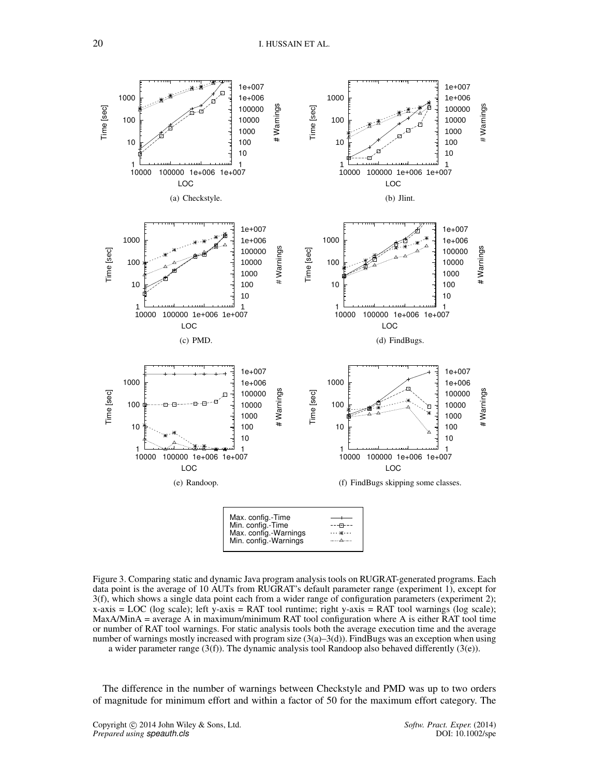<span id="page-19-2"></span><span id="page-19-0"></span>

<span id="page-19-4"></span><span id="page-19-3"></span><span id="page-19-1"></span>Figure 3. Comparing static and dynamic Java program analysis tools on RUGRAT-generated programs. Each data point is the average of 10 AUTs from RUGRAT's default parameter range (experiment 1), except for [3\(f\),](#page-19-1) which shows a single data point each from a wider range of configuration parameters (experiment 2); x-axis = LOC (log scale); left y-axis = RAT tool runtime; right y-axis = RAT tool warnings (log scale); MaxA/MinA = average A in maximum/minimum RAT tool configuration where A is either RAT tool time or number of RAT tool warnings. For static analysis tools both the average execution time and the average number of warnings mostly increased with program size  $(3(a)-3(d))$  $(3(a)-3(d))$ . FindBugs was an exception when using a wider parameter range  $(3(f))$ . The dynamic analysis tool Randoop also behaved differently  $(3(e))$ .

The difference in the number of warnings between Checkstyle and PMD was up to two orders of magnitude for minimum effort and within a factor of 50 for the maximum effort category. The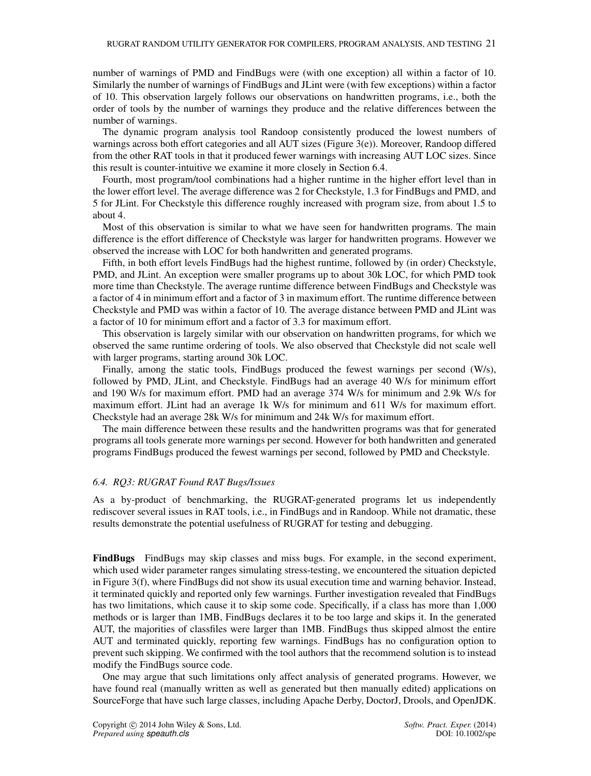number of warnings of PMD and FindBugs were (with one exception) all within a factor of 10. Similarly the number of warnings of FindBugs and JLint were (with few exceptions) within a factor of 10. This observation largely follows our observations on handwritten programs, i.e., both the order of tools by the number of warnings they produce and the relative differences between the number of warnings.

The dynamic program analysis tool Randoop consistently produced the lowest numbers of warnings across both effort categories and all AUT sizes (Figure [3\(e\)\)](#page-19-4). Moreover, Randoop differed from the other RAT tools in that it produced fewer warnings with increasing AUT LOC sizes. Since this result is counter-intuitive we examine it more closely in Section [6.4.](#page-20-0)

Fourth, most program/tool combinations had a higher runtime in the higher effort level than in the lower effort level. The average difference was 2 for Checkstyle, 1.3 for FindBugs and PMD, and 5 for JLint. For Checkstyle this difference roughly increased with program size, from about 1.5 to about 4.

Most of this observation is similar to what we have seen for handwritten programs. The main difference is the effort difference of Checkstyle was larger for handwritten programs. However we observed the increase with LOC for both handwritten and generated programs.

Fifth, in both effort levels FindBugs had the highest runtime, followed by (in order) Checkstyle, PMD, and JLint. An exception were smaller programs up to about 30k LOC, for which PMD took more time than Checkstyle. The average runtime difference between FindBugs and Checkstyle was a factor of 4 in minimum effort and a factor of 3 in maximum effort. The runtime difference between Checkstyle and PMD was within a factor of 10. The average distance between PMD and JLint was a factor of 10 for minimum effort and a factor of 3.3 for maximum effort.

This observation is largely similar with our observation on handwritten programs, for which we observed the same runtime ordering of tools. We also observed that Checkstyle did not scale well with larger programs, starting around 30k LOC.

Finally, among the static tools, FindBugs produced the fewest warnings per second (W/s), followed by PMD, JLint, and Checkstyle. FindBugs had an average 40 W/s for minimum effort and 190 W/s for maximum effort. PMD had an average 374 W/s for minimum and 2.9k W/s for maximum effort. JLint had an average 1k W/s for minimum and 611 W/s for maximum effort. Checkstyle had an average 28k W/s for minimum and 24k W/s for maximum effort.

The main difference between these results and the handwritten programs was that for generated programs all tools generate more warnings per second. However for both handwritten and generated programs FindBugs produced the fewest warnings per second, followed by PMD and Checkstyle.

### <span id="page-20-0"></span>*6.4. RQ3: RUGRAT Found RAT Bugs/Issues*

As a by-product of benchmarking, the RUGRAT-generated programs let us independently rediscover several issues in RAT tools, i.e., in FindBugs and in Randoop. While not dramatic, these results demonstrate the potential usefulness of RUGRAT for testing and debugging.

FindBugs FindBugs may skip classes and miss bugs. For example, in the second experiment, which used wider parameter ranges simulating stress-testing, we encountered the situation depicted in Figure [3\(f\),](#page-19-1) where FindBugs did not show its usual execution time and warning behavior. Instead, it terminated quickly and reported only few warnings. Further investigation revealed that FindBugs has two limitations, which cause it to skip some code. Specifically, if a class has more than 1,000 methods or is larger than 1MB, FindBugs declares it to be too large and skips it. In the generated AUT, the majorities of classfiles were larger than 1MB. FindBugs thus skipped almost the entire AUT and terminated quickly, reporting few warnings. FindBugs has no configuration option to prevent such skipping. We confirmed with the tool authors that the recommend solution is to instead modify the FindBugs source code.

One may argue that such limitations only affect analysis of generated programs. However, we have found real (manually written as well as generated but then manually edited) applications on SourceForge that have such large classes, including Apache Derby, DoctorJ, Drools, and OpenJDK.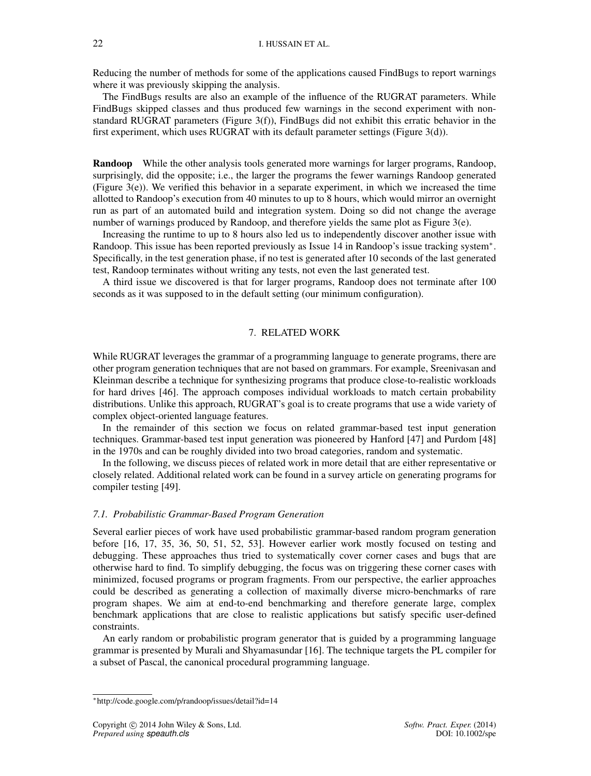Reducing the number of methods for some of the applications caused FindBugs to report warnings where it was previously skipping the analysis.

The FindBugs results are also an example of the influence of the RUGRAT parameters. While FindBugs skipped classes and thus produced few warnings in the second experiment with nonstandard RUGRAT parameters (Figure [3\(f\)\)](#page-19-1), FindBugs did not exhibit this erratic behavior in the first experiment, which uses RUGRAT with its default parameter settings (Figure [3\(d\)\)](#page-19-3).

Randoop While the other analysis tools generated more warnings for larger programs, Randoop, surprisingly, did the opposite; i.e., the larger the programs the fewer warnings Randoop generated (Figure [3\(e\)\)](#page-19-4). We verified this behavior in a separate experiment, in which we increased the time allotted to Randoop's execution from 40 minutes to up to 8 hours, which would mirror an overnight run as part of an automated build and integration system. Doing so did not change the average number of warnings produced by Randoop, and therefore yields the same plot as Figure [3\(e\).](#page-19-4)

Increasing the runtime to up to 8 hours also led us to independently discover another issue with Randoop. This issue has been reported previously as Issue 14 in Randoop's issue tracking system[∗](#page-21-0) . Specifically, in the test generation phase, if no test is generated after 10 seconds of the last generated test, Randoop terminates without writing any tests, not even the last generated test.

A third issue we discovered is that for larger programs, Randoop does not terminate after 100 seconds as it was supposed to in the default setting (our minimum configuration).

# 7. RELATED WORK

While RUGRAT leverages the grammar of a programming language to generate programs, there are other program generation techniques that are not based on grammars. For example, Sreenivasan and Kleinman describe a technique for synthesizing programs that produce close-to-realistic workloads for hard drives [\[46\]](#page-26-15). The approach composes individual workloads to match certain probability distributions. Unlike this approach, RUGRAT's goal is to create programs that use a wide variety of complex object-oriented language features.

In the remainder of this section we focus on related grammar-based test input generation techniques. Grammar-based test input generation was pioneered by Hanford [\[47\]](#page-26-16) and Purdom [\[48\]](#page-26-17) in the 1970s and can be roughly divided into two broad categories, random and systematic.

In the following, we discuss pieces of related work in more detail that are either representative or closely related. Additional related work can be found in a survey article on generating programs for compiler testing [\[49\]](#page-26-18).

#### *7.1. Probabilistic Grammar-Based Program Generation*

Several earlier pieces of work have used probabilistic grammar-based random program generation before [\[16,](#page-25-15) [17,](#page-25-16) [35,](#page-26-4) [36,](#page-26-5) [50,](#page-26-19) [51,](#page-26-20) [52,](#page-26-21) [53\]](#page-26-22). However earlier work mostly focused on testing and debugging. These approaches thus tried to systematically cover corner cases and bugs that are otherwise hard to find. To simplify debugging, the focus was on triggering these corner cases with minimized, focused programs or program fragments. From our perspective, the earlier approaches could be described as generating a collection of maximally diverse micro-benchmarks of rare program shapes. We aim at end-to-end benchmarking and therefore generate large, complex benchmark applications that are close to realistic applications but satisfy specific user-defined constraints.

An early random or probabilistic program generator that is guided by a programming language grammar is presented by Murali and Shyamasundar [\[16\]](#page-25-15). The technique targets the PL compiler for a subset of Pascal, the canonical procedural programming language.

<span id="page-21-0"></span><sup>∗</sup>http://code.google.com/p/randoop/issues/detail?id=14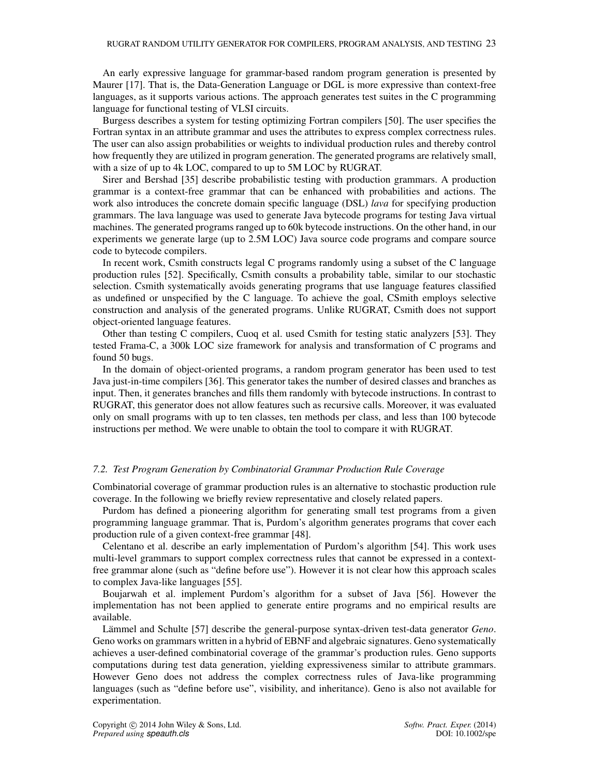An early expressive language for grammar-based random program generation is presented by Maurer [\[17\]](#page-25-16). That is, the Data-Generation Language or DGL is more expressive than context-free languages, as it supports various actions. The approach generates test suites in the C programming language for functional testing of VLSI circuits.

Burgess describes a system for testing optimizing Fortran compilers [\[50\]](#page-26-19). The user specifies the Fortran syntax in an attribute grammar and uses the attributes to express complex correctness rules. The user can also assign probabilities or weights to individual production rules and thereby control how frequently they are utilized in program generation. The generated programs are relatively small, with a size of up to 4k LOC, compared to up to 5M LOC by RUGRAT.

Sirer and Bershad [\[35\]](#page-26-4) describe probabilistic testing with production grammars. A production grammar is a context-free grammar that can be enhanced with probabilities and actions. The work also introduces the concrete domain specific language (DSL) *lava* for specifying production grammars. The lava language was used to generate Java bytecode programs for testing Java virtual machines. The generated programs ranged up to 60k bytecode instructions. On the other hand, in our experiments we generate large (up to 2.5M LOC) Java source code programs and compare source code to bytecode compilers.

In recent work, Csmith constructs legal C programs randomly using a subset of the C language production rules [\[52\]](#page-26-21). Specifically, Csmith consults a probability table, similar to our stochastic selection. Csmith systematically avoids generating programs that use language features classified as undefined or unspecified by the C language. To achieve the goal, CSmith employs selective construction and analysis of the generated programs. Unlike RUGRAT, Csmith does not support object-oriented language features.

Other than testing C compilers, Cuoq et al. used Csmith for testing static analyzers [\[53\]](#page-26-22). They tested Frama-C, a 300k LOC size framework for analysis and transformation of C programs and found 50 bugs.

In the domain of object-oriented programs, a random program generator has been used to test Java just-in-time compilers [\[36\]](#page-26-5). This generator takes the number of desired classes and branches as input. Then, it generates branches and fills them randomly with bytecode instructions. In contrast to RUGRAT, this generator does not allow features such as recursive calls. Moreover, it was evaluated only on small programs with up to ten classes, ten methods per class, and less than 100 bytecode instructions per method. We were unable to obtain the tool to compare it with RUGRAT.

### *7.2. Test Program Generation by Combinatorial Grammar Production Rule Coverage*

Combinatorial coverage of grammar production rules is an alternative to stochastic production rule coverage. In the following we briefly review representative and closely related papers.

Purdom has defined a pioneering algorithm for generating small test programs from a given programming language grammar. That is, Purdom's algorithm generates programs that cover each production rule of a given context-free grammar [\[48\]](#page-26-17).

Celentano et al. describe an early implementation of Purdom's algorithm [\[54\]](#page-26-23). This work uses multi-level grammars to support complex correctness rules that cannot be expressed in a contextfree grammar alone (such as "define before use"). However it is not clear how this approach scales to complex Java-like languages [\[55\]](#page-26-24).

Boujarwah et al. implement Purdom's algorithm for a subset of Java [\[56\]](#page-26-25). However the implementation has not been applied to generate entire programs and no empirical results are available.

Lämmel and Schulte [\[57\]](#page-26-26) describe the general-purpose syntax-driven test-data generator *Geno*. Geno works on grammars written in a hybrid of EBNF and algebraic signatures. Geno systematically achieves a user-defined combinatorial coverage of the grammar's production rules. Geno supports computations during test data generation, yielding expressiveness similar to attribute grammars. However Geno does not address the complex correctness rules of Java-like programming languages (such as "define before use", visibility, and inheritance). Geno is also not available for experimentation.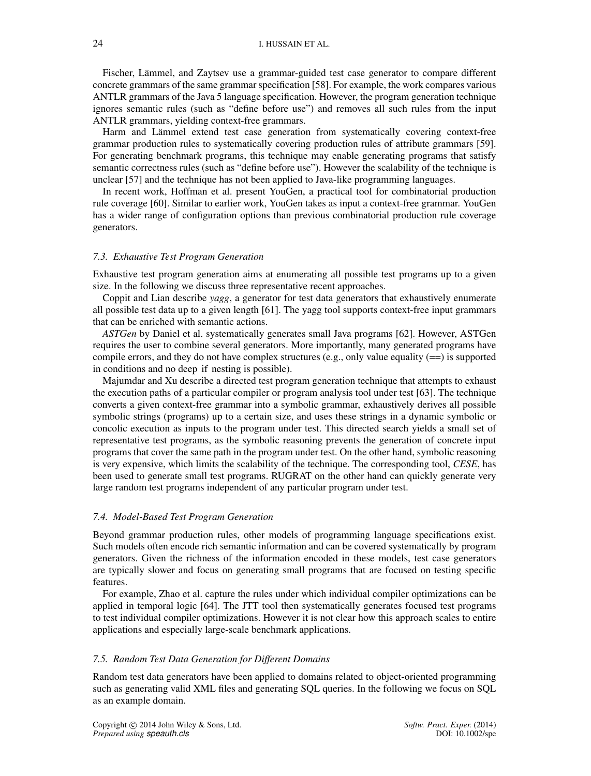Fischer, Lämmel, and Zaytsev use a grammar-guided test case generator to compare different concrete grammars of the same grammar specification [\[58\]](#page-26-27). For example, the work compares various ANTLR grammars of the Java 5 language specification. However, the program generation technique ignores semantic rules (such as "define before use") and removes all such rules from the input ANTLR grammars, yielding context-free grammars.

Harm and Lämmel extend test case generation from systematically covering context-free grammar production rules to systematically covering production rules of attribute grammars [\[59\]](#page-26-28). For generating benchmark programs, this technique may enable generating programs that satisfy semantic correctness rules (such as "define before use"). However the scalability of the technique is unclear [\[57\]](#page-26-26) and the technique has not been applied to Java-like programming languages.

In recent work, Hoffman et al. present YouGen, a practical tool for combinatorial production rule coverage [\[60\]](#page-26-29). Similar to earlier work, YouGen takes as input a context-free grammar. YouGen has a wider range of configuration options than previous combinatorial production rule coverage generators.

#### *7.3. Exhaustive Test Program Generation*

Exhaustive test program generation aims at enumerating all possible test programs up to a given size. In the following we discuss three representative recent approaches.

Coppit and Lian describe *yagg*, a generator for test data generators that exhaustively enumerate all possible test data up to a given length [\[61\]](#page-26-30). The yagg tool supports context-free input grammars that can be enriched with semantic actions.

*ASTGen* by Daniel et al. systematically generates small Java programs [\[62\]](#page-26-31). However, ASTGen requires the user to combine several generators. More importantly, many generated programs have compile errors, and they do not have complex structures (e.g., only value equality  $(==)$ ) is supported in conditions and no deep if nesting is possible).

Majumdar and Xu describe a directed test program generation technique that attempts to exhaust the execution paths of a particular compiler or program analysis tool under test [\[63\]](#page-26-32). The technique converts a given context-free grammar into a symbolic grammar, exhaustively derives all possible symbolic strings (programs) up to a certain size, and uses these strings in a dynamic symbolic or concolic execution as inputs to the program under test. This directed search yields a small set of representative test programs, as the symbolic reasoning prevents the generation of concrete input programs that cover the same path in the program under test. On the other hand, symbolic reasoning is very expensive, which limits the scalability of the technique. The corresponding tool, *CESE*, has been used to generate small test programs. RUGRAT on the other hand can quickly generate very large random test programs independent of any particular program under test.

#### *7.4. Model-Based Test Program Generation*

Beyond grammar production rules, other models of programming language specifications exist. Such models often encode rich semantic information and can be covered systematically by program generators. Given the richness of the information encoded in these models, test case generators are typically slower and focus on generating small programs that are focused on testing specific features.

For example, Zhao et al. capture the rules under which individual compiler optimizations can be applied in temporal logic [\[64\]](#page-26-33). The JTT tool then systematically generates focused test programs to test individual compiler optimizations. However it is not clear how this approach scales to entire applications and especially large-scale benchmark applications.

#### *7.5. Random Test Data Generation for Different Domains*

Random test data generators have been applied to domains related to object-oriented programming such as generating valid XML files and generating SQL queries. In the following we focus on SQL as an example domain.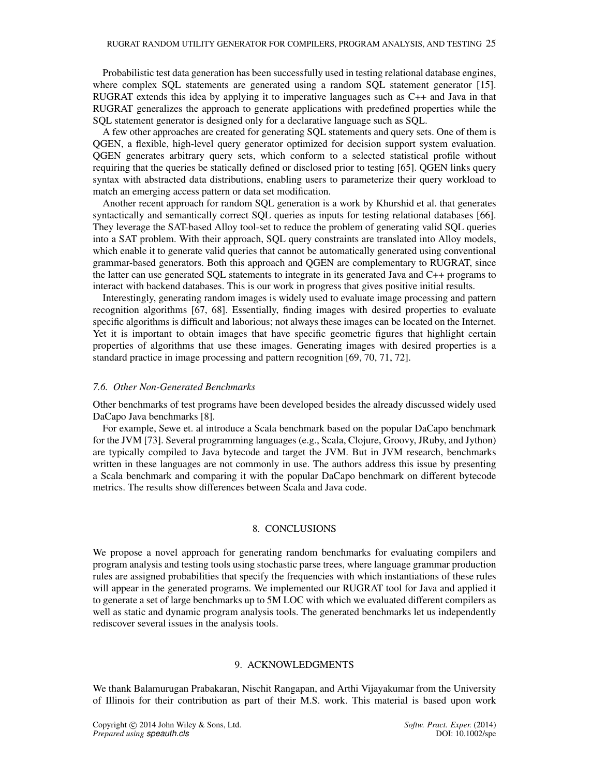Probabilistic test data generation has been successfully used in testing relational database engines, where complex SQL statements are generated using a random SQL statement generator [\[15\]](#page-25-14). RUGRAT extends this idea by applying it to imperative languages such as C++ and Java in that RUGRAT generalizes the approach to generate applications with predefined properties while the SQL statement generator is designed only for a declarative language such as SQL.

A few other approaches are created for generating SQL statements and query sets. One of them is QGEN, a flexible, high-level query generator optimized for decision support system evaluation. QGEN generates arbitrary query sets, which conform to a selected statistical profile without requiring that the queries be statically defined or disclosed prior to testing [\[65\]](#page-26-34). QGEN links query syntax with abstracted data distributions, enabling users to parameterize their query workload to match an emerging access pattern or data set modification.

Another recent approach for random SQL generation is a work by Khurshid et al. that generates syntactically and semantically correct SQL queries as inputs for testing relational databases [\[66\]](#page-26-35). They leverage the SAT-based Alloy tool-set to reduce the problem of generating valid SQL queries into a SAT problem. With their approach, SQL query constraints are translated into Alloy models, which enable it to generate valid queries that cannot be automatically generated using conventional grammar-based generators. Both this approach and QGEN are complementary to RUGRAT, since the latter can use generated SQL statements to integrate in its generated Java and C++ programs to interact with backend databases. This is our work in progress that gives positive initial results.

Interestingly, generating random images is widely used to evaluate image processing and pattern recognition algorithms [\[67,](#page-27-0) [68\]](#page-27-1). Essentially, finding images with desired properties to evaluate specific algorithms is difficult and laborious; not always these images can be located on the Internet. Yet it is important to obtain images that have specific geometric figures that highlight certain properties of algorithms that use these images. Generating images with desired properties is a standard practice in image processing and pattern recognition [\[69,](#page-27-2) [70,](#page-27-3) [71,](#page-27-4) [72\]](#page-27-5).

### *7.6. Other Non-Generated Benchmarks*

Other benchmarks of test programs have been developed besides the already discussed widely used DaCapo Java benchmarks [\[8\]](#page-25-7).

For example, Sewe et. al introduce a Scala benchmark based on the popular DaCapo benchmark for the JVM [\[73\]](#page-27-6). Several programming languages (e.g., Scala, Clojure, Groovy, JRuby, and Jython) are typically compiled to Java bytecode and target the JVM. But in JVM research, benchmarks written in these languages are not commonly in use. The authors address this issue by presenting a Scala benchmark and comparing it with the popular DaCapo benchmark on different bytecode metrics. The results show differences between Scala and Java code.

### 8. CONCLUSIONS

We propose a novel approach for generating random benchmarks for evaluating compilers and program analysis and testing tools using stochastic parse trees, where language grammar production rules are assigned probabilities that specify the frequencies with which instantiations of these rules will appear in the generated programs. We implemented our RUGRAT tool for Java and applied it to generate a set of large benchmarks up to 5M LOC with which we evaluated different compilers as well as static and dynamic program analysis tools. The generated benchmarks let us independently rediscover several issues in the analysis tools.

#### 9. ACKNOWLEDGMENTS

We thank Balamurugan Prabakaran, Nischit Rangapan, and Arthi Vijayakumar from the University of Illinois for their contribution as part of their M.S. work. This material is based upon work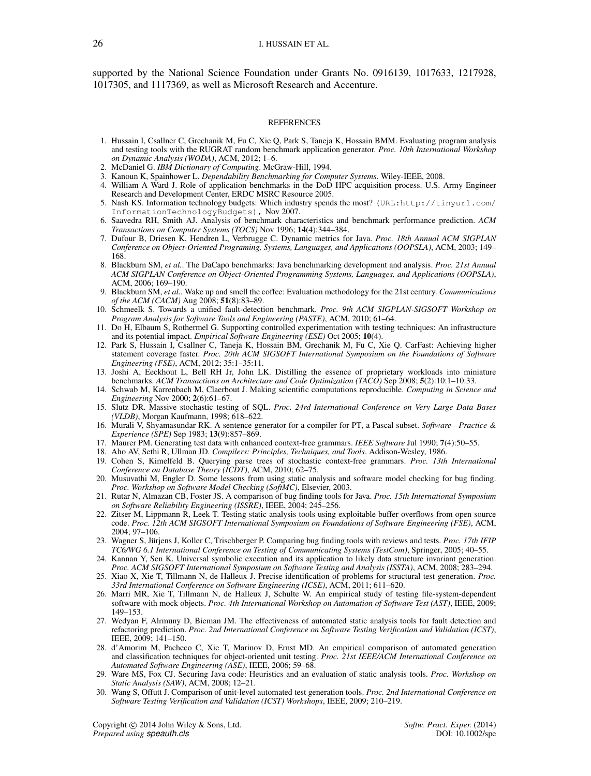supported by the National Science Foundation under Grants No. 0916139, 1017633, 1217928, 1017305, and 1117369, as well as Microsoft Research and Accenture.

#### **REFERENCES**

- <span id="page-25-4"></span>1. Hussain I, Csallner C, Grechanik M, Fu C, Xie Q, Park S, Taneja K, Hossain BMM. Evaluating program analysis and testing tools with the RUGRAT random benchmark application generator. *Proc. 10th International Workshop on Dynamic Analysis (WODA)*, ACM, 2012; 1–6.
- <span id="page-25-0"></span>2. McDaniel G. *IBM Dictionary of Computing*. McGraw-Hill, 1994.
- <span id="page-25-1"></span>3. Kanoun K, Spainhower L. *Dependability Benchmarking for Computer Systems*. Wiley-IEEE, 2008.
- <span id="page-25-2"></span>4. William A Ward J. Role of application benchmarks in the DoD HPC acquisition process. U.S. Army Engineer Research and Development Center, ERDC MSRC Resource 2005.
- <span id="page-25-3"></span>5. Nash KS. Information technology budgets: Which industry spends the most? [\(URL:http://tinyurl.com/]((URL: http://tinyurl.com/InformationTechnologyBudgets),) [InformationTechnologyBudgets\),]((URL: http://tinyurl.com/InformationTechnologyBudgets),) Nov 2007.
- <span id="page-25-5"></span>6. Saavedra RH, Smith AJ. Analysis of benchmark characteristics and benchmark performance prediction. *ACM Transactions on Computer Systems (TOCS)* Nov 1996; 14(4):344–384.
- <span id="page-25-6"></span>7. Dufour B, Driesen K, Hendren L, Verbrugge C. Dynamic metrics for Java. *Proc. 18th Annual ACM SIGPLAN Conference on Object-Oriented Programing, Systems, Languages, and Applications (OOPSLA)*, ACM, 2003; 149– 168.
- <span id="page-25-7"></span>8. Blackburn SM, *et al.*. The DaCapo benchmarks: Java benchmarking development and analysis. *Proc. 21st Annual ACM SIGPLAN Conference on Object-Oriented Programming Systems, Languages, and Applications (OOPSLA)*, ACM, 2006; 169–190.
- <span id="page-25-8"></span>9. Blackburn SM, *et al.*. Wake up and smell the coffee: Evaluation methodology for the 21st century. *Communications of the ACM (CACM)* Aug 2008; 51(8):83–89.
- <span id="page-25-9"></span>10. Schmeelk S. Towards a unified fault-detection benchmark. *Proc. 9th ACM SIGPLAN-SIGSOFT Workshop on Program Analysis for Software Tools and Engineering (PASTE)*, ACM, 2010; 61–64.
- <span id="page-25-10"></span>11. Do H, Elbaum S, Rothermel G. Supporting controlled experimentation with testing techniques: An infrastructure and its potential impact. *Empirical Software Engineering (ESE)* Oct 2005; 10(4).
- <span id="page-25-11"></span>12. Park S, Hussain I, Csallner C, Taneja K, Hossain BM, Grechanik M, Fu C, Xie Q. CarFast: Achieving higher statement coverage faster. *Proc. 20th ACM SIGSOFT International Symposium on the Foundations of Software Engineering (FSE)*, ACM, 2012; 35:1–35:11.
- <span id="page-25-12"></span>13. Joshi A, Eeckhout L, Bell RH Jr, John LK. Distilling the essence of proprietary workloads into miniature benchmarks. *ACM Transactions on Architecture and Code Optimization (TACO)* Sep 2008; 5(2):10:1–10:33.
- <span id="page-25-13"></span>14. Schwab M, Karrenbach M, Claerbout J. Making scientific computations reproducible. *Computing in Science and Engineering* Nov 2000; 2(6):61–67.
- <span id="page-25-14"></span>15. Slutz DR. Massive stochastic testing of SQL. *Proc. 24rd International Conference on Very Large Data Bases (VLDB)*, Morgan Kaufmann, 1998; 618–622.
- <span id="page-25-15"></span>16. Murali V, Shyamasundar RK. A sentence generator for a compiler for PT, a Pascal subset. *Software—Practice & Experience (SPE)* Sep 1983; 13(9):857–869.
- <span id="page-25-16"></span>17. Maurer PM. Generating test data with enhanced context-free grammars. *IEEE Software* Jul 1990; 7(4):50–55.
- <span id="page-25-17"></span>18. Aho AV, Sethi R, Ullman JD. *Compilers: Principles, Techniques, and Tools*. Addison-Wesley, 1986.
- <span id="page-25-18"></span>19. Cohen S, Kimelfeld B. Querying parse trees of stochastic context-free grammars. *Proc. 13th International Conference on Database Theory (ICDT)*, ACM, 2010; 62–75.
- <span id="page-25-19"></span>20. Musuvathi M, Engler D. Some lessons from using static analysis and software model checking for bug finding. *Proc. Workshop on Software Model Checking (SoftMC)*, Elsevier, 2003.
- <span id="page-25-20"></span>21. Rutar N, Almazan CB, Foster JS. A comparison of bug finding tools for Java. *Proc. 15th International Symposium on Software Reliability Engineering (ISSRE)*, IEEE, 2004; 245–256.
- <span id="page-25-21"></span>22. Zitser M, Lippmann R, Leek T. Testing static analysis tools using exploitable buffer overflows from open source code. *Proc. 12th ACM SIGSOFT International Symposium on Foundations of Software Engineering (FSE)*, ACM, 2004; 97–106.
- <span id="page-25-22"></span>23. Wagner S, Jürjens J, Koller C, Trischberger P. Comparing bug finding tools with reviews and tests. *Proc. 17th IFIP TC6/WG 6.1 International Conference on Testing of Communicating Systems (TestCom)*, Springer, 2005; 40–55.
- <span id="page-25-23"></span>24. Kannan Y, Sen K. Universal symbolic execution and its application to likely data structure invariant generation. *Proc. ACM SIGSOFT International Symposium on Software Testing and Analysis (ISSTA)*, ACM, 2008; 283–294.
- <span id="page-25-24"></span>25. Xiao X, Xie T, Tillmann N, de Halleux J. Precise identification of problems for structural test generation. *Proc. 33rd International Conference on Software Engineering (ICSE)*, ACM, 2011; 611–620.
- <span id="page-25-25"></span>26. Marri MR, Xie T, Tillmann N, de Halleux J, Schulte W. An empirical study of testing file-system-dependent software with mock objects. *Proc. 4th International Workshop on Automation of Software Test (AST)*, IEEE, 2009; 149–153.
- <span id="page-25-26"></span>27. Wedyan F, Alrmuny D, Bieman JM. The effectiveness of automated static analysis tools for fault detection and refactoring prediction. *Proc. 2nd International Conference on Software Testing Verification and Validation (ICST)*, IEEE, 2009; 141–150.
- <span id="page-25-27"></span>28. d'Amorim M, Pacheco C, Xie T, Marinov D, Ernst MD. An empirical comparison of automated generation and classification techniques for object-oriented unit testing. *Proc. 21st IEEE/ACM International Conference on Automated Software Engineering (ASE)*, IEEE, 2006; 59–68.
- <span id="page-25-28"></span>29. Ware MS, Fox CJ. Securing Java code: Heuristics and an evaluation of static analysis tools. *Proc. Workshop on Static Analysis (SAW)*, ACM, 2008; 12–21.
- <span id="page-25-29"></span>30. Wang S, Offutt J. Comparison of unit-level automated test generation tools. *Proc. 2nd International Conference on Software Testing Verification and Validation (ICST) Workshops*, IEEE, 2009; 210–219.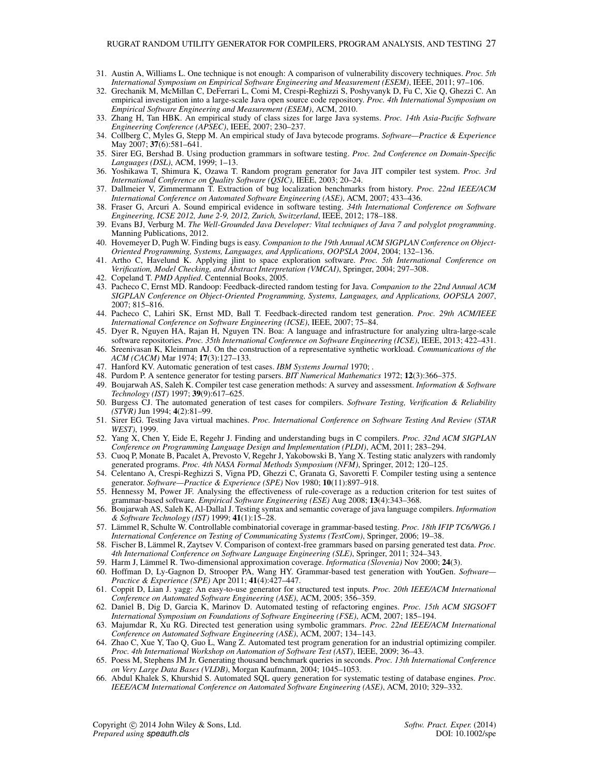- <span id="page-26-0"></span>31. Austin A, Williams L. One technique is not enough: A comparison of vulnerability discovery techniques. *Proc. 5th International Symposium on Empirical Software Engineering and Measurement (ESEM)*, IEEE, 2011; 97–106.
- <span id="page-26-1"></span>32. Grechanik M, McMillan C, DeFerrari L, Comi M, Crespi-Reghizzi S, Poshyvanyk D, Fu C, Xie Q, Ghezzi C. An empirical investigation into a large-scale Java open source code repository. *Proc. 4th International Symposium on Empirical Software Engineering and Measurement (ESEM)*, ACM, 2010.
- <span id="page-26-2"></span>33. Zhang H, Tan HBK. An empirical study of class sizes for large Java systems. *Proc. 14th Asia-Pacific Software Engineering Conference (APSEC)*, IEEE, 2007; 230–237.
- <span id="page-26-3"></span>34. Collberg C, Myles G, Stepp M. An empirical study of Java bytecode programs. *Software—Practice & Experience* May 2007; 37(6):581-641.
- <span id="page-26-4"></span>35. Sirer EG, Bershad B. Using production grammars in software testing. *Proc. 2nd Conference on Domain-Specific Languages (DSL)*, ACM, 1999; 1–13.
- <span id="page-26-5"></span>36. Yoshikawa T, Shimura K, Ozawa T. Random program generator for Java JIT compiler test system. *Proc. 3rd International Conference on Quality Software (QSIC)*, IEEE, 2003; 20–24.
- <span id="page-26-6"></span>37. Dallmeier V, Zimmermann T. Extraction of bug localization benchmarks from history. *Proc. 22nd IEEE/ACM International Conference on Automated Software Engineering (ASE)*, ACM, 2007; 433–436.
- <span id="page-26-7"></span>38. Fraser G, Arcuri A. Sound empirical evidence in software testing. *34th International Conference on Software Engineering, ICSE 2012, June 2-9, 2012, Zurich, Switzerland*, IEEE, 2012; 178–188.
- <span id="page-26-8"></span>39. Evans BJ, Verburg M. *The Well-Grounded Java Developer: Vital techniques of Java 7 and polyglot programming*. Manning Publications, 2012.
- <span id="page-26-9"></span>40. Hovemeyer D, Pugh W. Finding bugs is easy. *Companion to the 19th Annual ACM SIGPLAN Conference on Object-Oriented Programming, Systems, Languages, and Applications, OOPSLA 2004*, 2004; 132–136.
- <span id="page-26-10"></span>41. Artho C, Havelund K. Applying jlint to space exploration software. *Proc. 5th International Conference on Verification, Model Checking, and Abstract Interpretation (VMCAI)*, Springer, 2004; 297–308.
- <span id="page-26-11"></span>42. Copeland T. *PMD Applied*. Centennial Books, 2005.
- <span id="page-26-12"></span>43. Pacheco C, Ernst MD. Randoop: Feedback-directed random testing for Java. *Companion to the 22nd Annual ACM SIGPLAN Conference on Object-Oriented Programming, Systems, Languages, and Applications, OOPSLA 2007*, 2007; 815–816.
- <span id="page-26-13"></span>44. Pacheco C, Lahiri SK, Ernst MD, Ball T. Feedback-directed random test generation. *Proc. 29th ACM/IEEE International Conference on Software Engineering (ICSE)*, IEEE, 2007; 75–84.
- <span id="page-26-14"></span>45. Dyer R, Nguyen HA, Rajan H, Nguyen TN. Boa: A language and infrastructure for analyzing ultra-large-scale software repositories. *Proc. 35th International Conference on Software Engineering (ICSE)*, IEEE, 2013; 422–431.
- <span id="page-26-15"></span>46. Sreenivasan K, Kleinman AJ. On the construction of a representative synthetic workload. *Communications of the ACM (CACM)* Mar 1974; 17(3):127–133.
- <span id="page-26-16"></span>47. Hanford KV. Automatic generation of test cases. *IBM Systems Journal* 1970; .
- <span id="page-26-17"></span>48. Purdom P. A sentence generator for testing parsers. *BIT Numerical Mathematics* 1972; 12(3):366–375.
- <span id="page-26-18"></span>49. Boujarwah AS, Saleh K. Compiler test case generation methods: A survey and assessment. *Information & Software Technology (IST)* 1997; 39(9):617–625.
- <span id="page-26-19"></span>50. Burgess CJ. The automated generation of test cases for compilers. *Software Testing, Verification & Reliability (STVR)* Jun 1994; 4(2):81–99.
- <span id="page-26-20"></span>51. Sirer EG. Testing Java virtual machines. *Proc. International Conference on Software Testing And Review (STAR WEST)*, 1999.
- <span id="page-26-21"></span>52. Yang X, Chen Y, Eide E, Regehr J. Finding and understanding bugs in C compilers. *Proc. 32nd ACM SIGPLAN Conference on Programming Language Design and Implementation (PLDI)*, ACM, 2011; 283–294.
- <span id="page-26-22"></span>53. Cuoq P, Monate B, Pacalet A, Prevosto V, Regehr J, Yakobowski B, Yang X. Testing static analyzers with randomly generated programs. *Proc. 4th NASA Formal Methods Symposium (NFM)*, Springer, 2012; 120–125.
- <span id="page-26-23"></span>54. Celentano A, Crespi-Reghizzi S, Vigna PD, Ghezzi C, Granata G, Savoretti F. Compiler testing using a sentence generator. *Software—Practice & Experience (SPE)* Nov 1980; 10(11):897–918.
- <span id="page-26-24"></span>55. Hennessy M, Power JF. Analysing the effectiveness of rule-coverage as a reduction criterion for test suites of grammar-based software. *Empirical Software Engineering (ESE)* Aug 2008; 13(4):343–368.
- <span id="page-26-25"></span>56. Boujarwah AS, Saleh K, Al-Dallal J. Testing syntax and semantic coverage of java language compilers. *Information & Software Technology (IST)* 1999; 41(1):15–28.
- <span id="page-26-26"></span>57. Lämmel R, Schulte W. Controllable combinatorial coverage in grammar-based testing. Proc. 18th IFIP TC6/WG6.1 *International Conference on Testing of Communicating Systems (TestCom)*, Springer, 2006; 19–38.
- <span id="page-26-27"></span>58. Fischer B, Lämmel R, Zaytsev V. Comparison of context-free grammars based on parsing generated test data. Proc. *4th International Conference on Software Language Engineering (SLE)*, Springer, 2011; 324–343.
- <span id="page-26-28"></span>59. Harm J, Lämmel R. Two-dimensional approximation coverage. *Informatica (Slovenia)* Nov 2000; 24(3).
- <span id="page-26-29"></span>60. Hoffman D, Ly-Gagnon D, Strooper PA, Wang HY. Grammar-based test generation with YouGen. *Software— Practice & Experience (SPE)* Apr 2011; 41(4):427–447.
- <span id="page-26-30"></span>61. Coppit D, Lian J. yagg: An easy-to-use generator for structured test inputs. *Proc. 20th IEEE/ACM International Conference on Automated Software Engineering (ASE)*, ACM, 2005; 356–359.
- <span id="page-26-31"></span>62. Daniel B, Dig D, Garcia K, Marinov D. Automated testing of refactoring engines. *Proc. 15th ACM SIGSOFT International Symposium on Foundations of Software Engineering (FSE)*, ACM, 2007; 185–194.
- <span id="page-26-32"></span>63. Majumdar R, Xu RG. Directed test generation using symbolic grammars. *Proc. 22nd IEEE/ACM International Conference on Automated Software Engineering (ASE)*, ACM, 2007; 134–143.
- <span id="page-26-33"></span>64. Zhao C, Xue Y, Tao Q, Guo L, Wang Z. Automated test program generation for an industrial optimizing compiler. *Proc. 4th International Workshop on Automation of Software Test (AST)*, IEEE, 2009; 36–43.
- <span id="page-26-34"></span>65. Poess M, Stephens JM Jr. Generating thousand benchmark queries in seconds. *Proc. 13th International Conference on Very Large Data Bases (VLDB)*, Morgan Kaufmann, 2004; 1045–1053.
- <span id="page-26-35"></span>66. Abdul Khalek S, Khurshid S. Automated SQL query generation for systematic testing of database engines. *Proc. IEEE/ACM International Conference on Automated Software Engineering (ASE)*, ACM, 2010; 329–332.